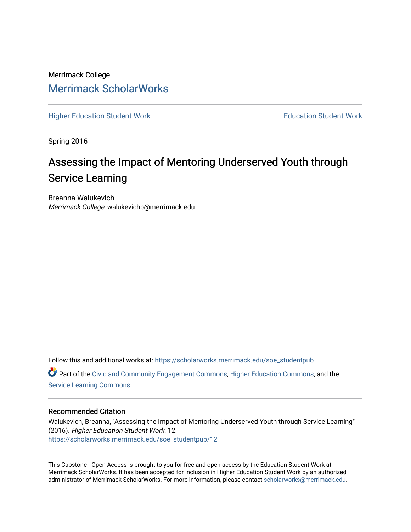Merrimack College [Merrimack ScholarWorks](https://scholarworks.merrimack.edu/) 

[Higher Education Student Work](https://scholarworks.merrimack.edu/soe_studentpub) **Education Student Work** Education Student Work

Spring 2016

# Assessing the Impact of Mentoring Underserved Youth through Service Learning

Breanna Walukevich Merrimack College, walukevichb@merrimack.edu

Follow this and additional works at: [https://scholarworks.merrimack.edu/soe\\_studentpub](https://scholarworks.merrimack.edu/soe_studentpub?utm_source=scholarworks.merrimack.edu%2Fsoe_studentpub%2F12&utm_medium=PDF&utm_campaign=PDFCoverPages)  Part of the [Civic and Community Engagement Commons](http://network.bepress.com/hgg/discipline/1028?utm_source=scholarworks.merrimack.edu%2Fsoe_studentpub%2F12&utm_medium=PDF&utm_campaign=PDFCoverPages), [Higher Education Commons,](http://network.bepress.com/hgg/discipline/1245?utm_source=scholarworks.merrimack.edu%2Fsoe_studentpub%2F12&utm_medium=PDF&utm_campaign=PDFCoverPages) and the [Service Learning Commons](http://network.bepress.com/hgg/discipline/1024?utm_source=scholarworks.merrimack.edu%2Fsoe_studentpub%2F12&utm_medium=PDF&utm_campaign=PDFCoverPages)

### Recommended Citation

Walukevich, Breanna, "Assessing the Impact of Mentoring Underserved Youth through Service Learning" (2016). Higher Education Student Work. 12. [https://scholarworks.merrimack.edu/soe\\_studentpub/12](https://scholarworks.merrimack.edu/soe_studentpub/12?utm_source=scholarworks.merrimack.edu%2Fsoe_studentpub%2F12&utm_medium=PDF&utm_campaign=PDFCoverPages) 

This Capstone - Open Access is brought to you for free and open access by the Education Student Work at Merrimack ScholarWorks. It has been accepted for inclusion in Higher Education Student Work by an authorized administrator of Merrimack ScholarWorks. For more information, please contact [scholarworks@merrimack.edu](mailto:scholarworks@merrimack.edu).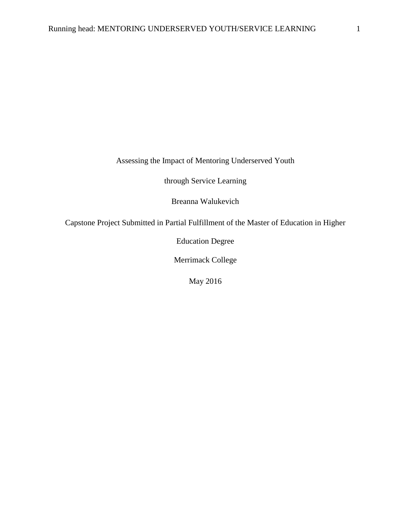Assessing the Impact of Mentoring Underserved Youth

through Service Learning

Breanna Walukevich

Capstone Project Submitted in Partial Fulfillment of the Master of Education in Higher

Education Degree

Merrimack College

May 2016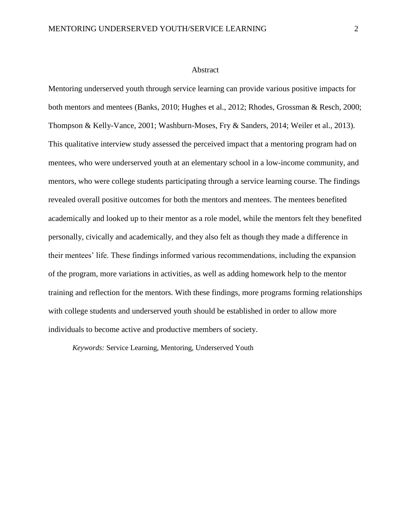#### Abstract

Mentoring underserved youth through service learning can provide various positive impacts for both mentors and mentees (Banks, 2010; Hughes et al., 2012; Rhodes, Grossman & Resch, 2000; Thompson & Kelly-Vance, 2001; Washburn-Moses, Fry & Sanders, 2014; Weiler et al., 2013). This qualitative interview study assessed the perceived impact that a mentoring program had on mentees, who were underserved youth at an elementary school in a low-income community, and mentors, who were college students participating through a service learning course. The findings revealed overall positive outcomes for both the mentors and mentees. The mentees benefited academically and looked up to their mentor as a role model, while the mentors felt they benefited personally, civically and academically, and they also felt as though they made a difference in their mentees' life. These findings informed various recommendations, including the expansion of the program, more variations in activities, as well as adding homework help to the mentor training and reflection for the mentors. With these findings, more programs forming relationships with college students and underserved youth should be established in order to allow more individuals to become active and productive members of society.

*Keywords:* Service Learning, Mentoring, Underserved Youth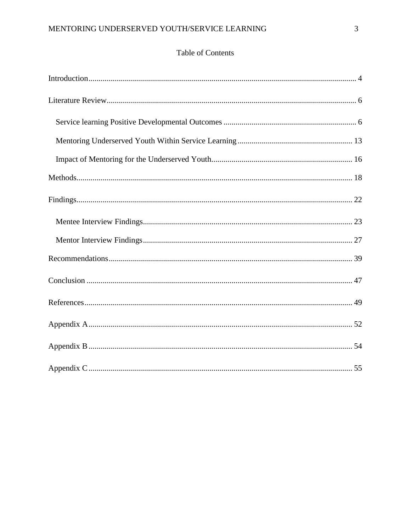# Table of Contents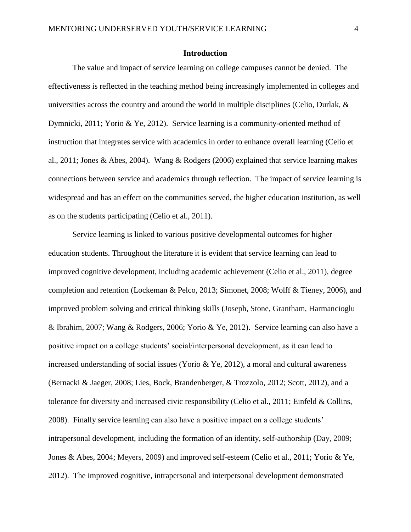### **Introduction**

The value and impact of service learning on college campuses cannot be denied. The effectiveness is reflected in the teaching method being increasingly implemented in colleges and universities across the country and around the world in multiple disciplines (Celio, Durlak,  $\&$ Dymnicki, 2011; Yorio & Ye, 2012). Service learning is a community-oriented method of instruction that integrates service with academics in order to enhance overall learning (Celio et al., 2011; Jones & Abes, 2004). Wang & Rodgers (2006) explained that service learning makes connections between service and academics through reflection. The impact of service learning is widespread and has an effect on the communities served, the higher education institution, as well as on the students participating (Celio et al., 2011).

Service learning is linked to various positive developmental outcomes for higher education students. Throughout the literature it is evident that service learning can lead to improved cognitive development, including academic achievement (Celio et al., 2011), degree completion and retention (Lockeman & Pelco, 2013; Simonet, 2008; Wolff & Tieney, 2006), and improved problem solving and critical thinking skills (Joseph, Stone, Grantham, Harmancioglu & Ibrahim, 2007; Wang & Rodgers, 2006; Yorio & Ye, 2012). Service learning can also have a positive impact on a college students' social/interpersonal development, as it can lead to increased understanding of social issues (Yorio & Ye, 2012), a moral and cultural awareness (Bernacki & Jaeger, 2008; Lies, Bock, Brandenberger, & Trozzolo, 2012; Scott, 2012), and a tolerance for diversity and increased civic responsibility (Celio et al., 2011; Einfeld & Collins, 2008). Finally service learning can also have a positive impact on a college students' intrapersonal development, including the formation of an identity, self-authorship (Day, 2009; Jones & Abes, 2004; Meyers, 2009) and improved self-esteem (Celio et al., 2011; Yorio & Ye, 2012). The improved cognitive, intrapersonal and interpersonal development demonstrated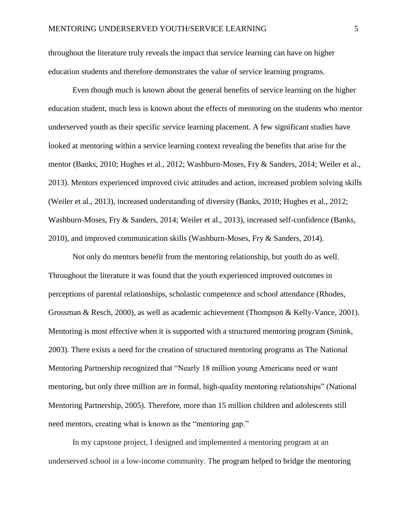throughout the literature truly reveals the impact that service learning can have on higher education students and therefore demonstrates the value of service learning programs.

Even though much is known about the general benefits of service learning on the higher education student, much less is known about the effects of mentoring on the students who mentor underserved youth as their specific service learning placement. A few significant studies have looked at mentoring within a service learning context revealing the benefits that arise for the mentor (Banks, 2010; Hughes et al., 2012; Washburn-Moses, Fry & Sanders, 2014; Weiler et al., 2013). Mentors experienced improved civic attitudes and action, increased problem solving skills (Weiler et al., 2013), increased understanding of diversity (Banks, 2010; Hughes et al., 2012; Washburn-Moses, Fry & Sanders, 2014; Weiler et al., 2013), increased self-confidence (Banks, 2010), and improved communication skills (Washburn-Moses, Fry & Sanders, 2014).

Not only do mentors benefit from the mentoring relationship, but youth do as well. Throughout the literature it was found that the youth experienced improved outcomes in perceptions of parental relationships, scholastic competence and school attendance (Rhodes, Grossman & Resch, 2000), as well as academic achievement (Thompson & Kelly-Vance, 2001). Mentoring is most effective when it is supported with a structured mentoring program (Smink, 2003). There exists a need for the creation of structured mentoring programs as The National Mentoring Partnership recognized that "Nearly 18 million young Americans need or want mentoring, but only three million are in formal, high-quality mentoring relationships" (National Mentoring Partnership, 2005). Therefore, more than 15 million children and adolescents still need mentors, creating what is known as the "mentoring gap."

In my capstone project, I designed and implemented a mentoring program at an underserved school in a low-income community. The program helped to bridge the mentoring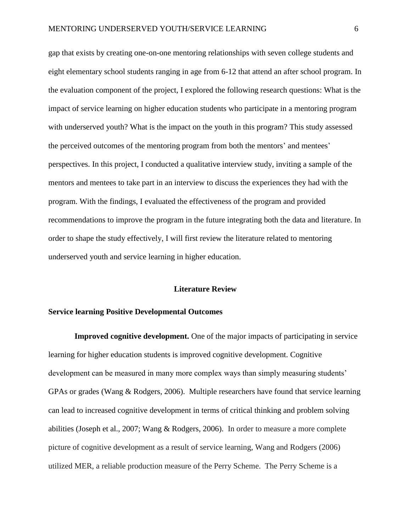gap that exists by creating one-on-one mentoring relationships with seven college students and eight elementary school students ranging in age from 6-12 that attend an after school program. In the evaluation component of the project, I explored the following research questions: What is the impact of service learning on higher education students who participate in a mentoring program with underserved youth? What is the impact on the youth in this program? This study assessed the perceived outcomes of the mentoring program from both the mentors' and mentees' perspectives. In this project, I conducted a qualitative interview study, inviting a sample of the mentors and mentees to take part in an interview to discuss the experiences they had with the program. With the findings, I evaluated the effectiveness of the program and provided recommendations to improve the program in the future integrating both the data and literature. In order to shape the study effectively, I will first review the literature related to mentoring underserved youth and service learning in higher education.

#### **Literature Review**

### **Service learning Positive Developmental Outcomes**

**Improved cognitive development.** One of the major impacts of participating in service learning for higher education students is improved cognitive development. Cognitive development can be measured in many more complex ways than simply measuring students' GPAs or grades (Wang & Rodgers, 2006). Multiple researchers have found that service learning can lead to increased cognitive development in terms of critical thinking and problem solving abilities (Joseph et al., 2007; Wang & Rodgers, 2006). In order to measure a more complete picture of cognitive development as a result of service learning, Wang and Rodgers (2006) utilized MER, a reliable production measure of the Perry Scheme. The Perry Scheme is a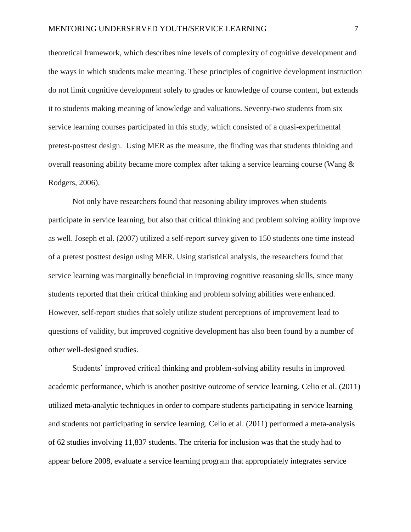theoretical framework, which describes nine levels of complexity of cognitive development and the ways in which students make meaning. These principles of cognitive development instruction do not limit cognitive development solely to grades or knowledge of course content, but extends it to students making meaning of knowledge and valuations. Seventy-two students from six service learning courses participated in this study, which consisted of a quasi-experimental pretest-posttest design. Using MER as the measure, the finding was that students thinking and overall reasoning ability became more complex after taking a service learning course (Wang & Rodgers, 2006).

Not only have researchers found that reasoning ability improves when students participate in service learning, but also that critical thinking and problem solving ability improve as well. Joseph et al. (2007) utilized a self-report survey given to 150 students one time instead of a pretest posttest design using MER. Using statistical analysis, the researchers found that service learning was marginally beneficial in improving cognitive reasoning skills, since many students reported that their critical thinking and problem solving abilities were enhanced. However, self-report studies that solely utilize student perceptions of improvement lead to questions of validity, but improved cognitive development has also been found by a number of other well-designed studies.

Students' improved critical thinking and problem-solving ability results in improved academic performance, which is another positive outcome of service learning. Celio et al. (2011) utilized meta-analytic techniques in order to compare students participating in service learning and students not participating in service learning. Celio et al. (2011) performed a meta-analysis of 62 studies involving 11,837 students. The criteria for inclusion was that the study had to appear before 2008, evaluate a service learning program that appropriately integrates service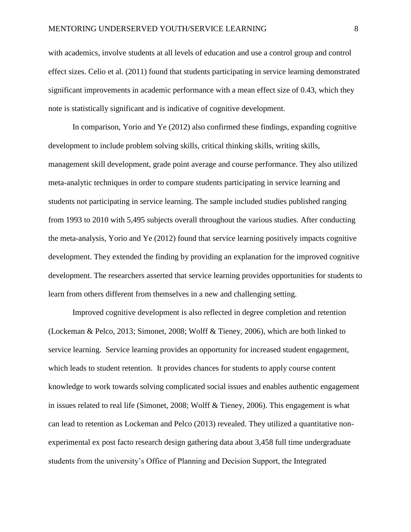with academics, involve students at all levels of education and use a control group and control effect sizes. Celio et al. (2011) found that students participating in service learning demonstrated significant improvements in academic performance with a mean effect size of 0.43, which they note is statistically significant and is indicative of cognitive development.

In comparison, Yorio and Ye (2012) also confirmed these findings, expanding cognitive development to include problem solving skills, critical thinking skills, writing skills, management skill development, grade point average and course performance. They also utilized meta-analytic techniques in order to compare students participating in service learning and students not participating in service learning. The sample included studies published ranging from 1993 to 2010 with 5,495 subjects overall throughout the various studies. After conducting the meta-analysis, Yorio and Ye (2012) found that service learning positively impacts cognitive development. They extended the finding by providing an explanation for the improved cognitive development. The researchers asserted that service learning provides opportunities for students to learn from others different from themselves in a new and challenging setting.

Improved cognitive development is also reflected in degree completion and retention (Lockeman & Pelco, 2013; Simonet, 2008; Wolff & Tieney, 2006), which are both linked to service learning. Service learning provides an opportunity for increased student engagement, which leads to student retention. It provides chances for students to apply course content knowledge to work towards solving complicated social issues and enables authentic engagement in issues related to real life (Simonet, 2008; Wolff & Tieney, 2006). This engagement is what can lead to retention as Lockeman and Pelco (2013) revealed. They utilized a quantitative nonexperimental ex post facto research design gathering data about 3,458 full time undergraduate students from the university's Office of Planning and Decision Support, the Integrated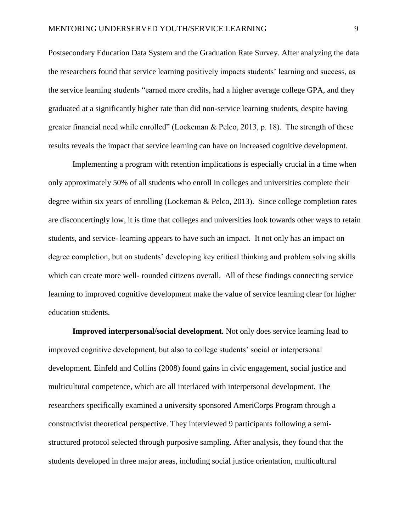Postsecondary Education Data System and the Graduation Rate Survey. After analyzing the data the researchers found that service learning positively impacts students' learning and success, as the service learning students "earned more credits, had a higher average college GPA, and they graduated at a significantly higher rate than did non-service learning students, despite having greater financial need while enrolled" (Lockeman & Pelco, 2013, p. 18). The strength of these results reveals the impact that service learning can have on increased cognitive development.

Implementing a program with retention implications is especially crucial in a time when only approximately 50% of all students who enroll in colleges and universities complete their degree within six years of enrolling (Lockeman & Pelco, 2013). Since college completion rates are disconcertingly low, it is time that colleges and universities look towards other ways to retain students, and service- learning appears to have such an impact. It not only has an impact on degree completion, but on students' developing key critical thinking and problem solving skills which can create more well- rounded citizens overall. All of these findings connecting service learning to improved cognitive development make the value of service learning clear for higher education students.

**Improved interpersonal/social development.** Not only does service learning lead to improved cognitive development, but also to college students' social or interpersonal development. Einfeld and Collins (2008) found gains in civic engagement, social justice and multicultural competence, which are all interlaced with interpersonal development. The researchers specifically examined a university sponsored AmeriCorps Program through a constructivist theoretical perspective. They interviewed 9 participants following a semistructured protocol selected through purposive sampling. After analysis, they found that the students developed in three major areas, including social justice orientation, multicultural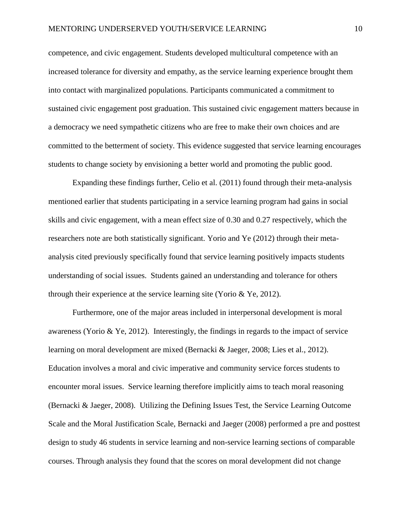competence, and civic engagement. Students developed multicultural competence with an increased tolerance for diversity and empathy, as the service learning experience brought them into contact with marginalized populations. Participants communicated a commitment to sustained civic engagement post graduation. This sustained civic engagement matters because in a democracy we need sympathetic citizens who are free to make their own choices and are committed to the betterment of society. This evidence suggested that service learning encourages students to change society by envisioning a better world and promoting the public good.

Expanding these findings further, Celio et al. (2011) found through their meta-analysis mentioned earlier that students participating in a service learning program had gains in social skills and civic engagement, with a mean effect size of 0.30 and 0.27 respectively, which the researchers note are both statistically significant. Yorio and Ye (2012) through their metaanalysis cited previously specifically found that service learning positively impacts students understanding of social issues. Students gained an understanding and tolerance for others through their experience at the service learning site (Yorio & Ye, 2012).

Furthermore, one of the major areas included in interpersonal development is moral awareness (Yorio & Ye, 2012). Interestingly, the findings in regards to the impact of service learning on moral development are mixed (Bernacki & Jaeger, 2008; Lies et al., 2012). Education involves a moral and civic imperative and community service forces students to encounter moral issues. Service learning therefore implicitly aims to teach moral reasoning (Bernacki & Jaeger, 2008). Utilizing the Defining Issues Test, the Service Learning Outcome Scale and the Moral Justification Scale, Bernacki and Jaeger (2008) performed a pre and posttest design to study 46 students in service learning and non-service learning sections of comparable courses. Through analysis they found that the scores on moral development did not change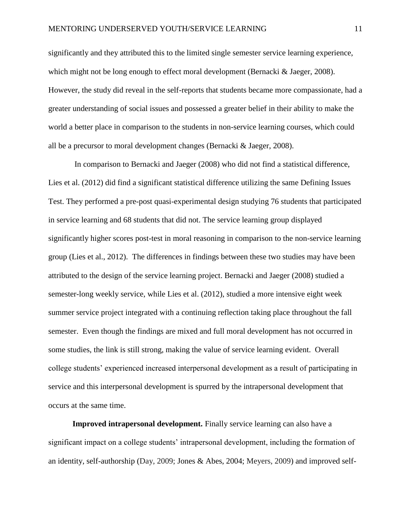significantly and they attributed this to the limited single semester service learning experience, which might not be long enough to effect moral development (Bernacki & Jaeger, 2008). However, the study did reveal in the self-reports that students became more compassionate, had a greater understanding of social issues and possessed a greater belief in their ability to make the world a better place in comparison to the students in non-service learning courses, which could all be a precursor to moral development changes (Bernacki & Jaeger, 2008).

In comparison to Bernacki and Jaeger (2008) who did not find a statistical difference, Lies et al. (2012) did find a significant statistical difference utilizing the same Defining Issues Test. They performed a pre-post quasi-experimental design studying 76 students that participated in service learning and 68 students that did not. The service learning group displayed significantly higher scores post-test in moral reasoning in comparison to the non-service learning group (Lies et al., 2012). The differences in findings between these two studies may have been attributed to the design of the service learning project. Bernacki and Jaeger (2008) studied a semester-long weekly service, while Lies et al. (2012), studied a more intensive eight week summer service project integrated with a continuing reflection taking place throughout the fall semester. Even though the findings are mixed and full moral development has not occurred in some studies, the link is still strong, making the value of service learning evident. Overall college students' experienced increased interpersonal development as a result of participating in service and this interpersonal development is spurred by the intrapersonal development that occurs at the same time.

**Improved intrapersonal development.** Finally service learning can also have a significant impact on a college students' intrapersonal development, including the formation of an identity, self-authorship (Day, 2009; Jones & Abes, 2004; Meyers, 2009) and improved self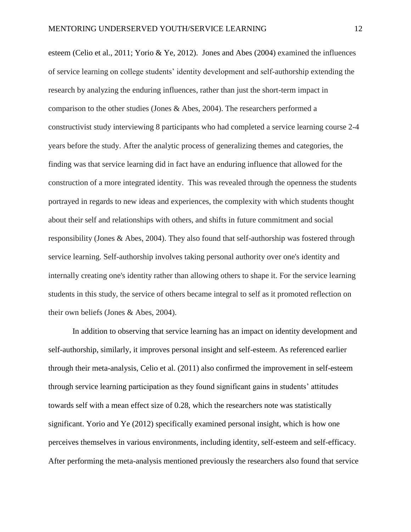esteem (Celio et al., 2011; Yorio & Ye, 2012). Jones and Abes (2004) examined the influences of service learning on college students' identity development and self-authorship extending the research by analyzing the enduring influences, rather than just the short-term impact in comparison to the other studies (Jones & Abes, 2004). The researchers performed a constructivist study interviewing 8 participants who had completed a service learning course 2-4 years before the study. After the analytic process of generalizing themes and categories, the finding was that service learning did in fact have an enduring influence that allowed for the construction of a more integrated identity. This was revealed through the openness the students portrayed in regards to new ideas and experiences, the complexity with which students thought about their self and relationships with others, and shifts in future commitment and social responsibility (Jones & Abes, 2004). They also found that self-authorship was fostered through service learning. Self-authorship involves taking personal authority over one's identity and internally creating one's identity rather than allowing others to shape it. For the service learning students in this study, the service of others became integral to self as it promoted reflection on their own beliefs (Jones & Abes, 2004).

In addition to observing that service learning has an impact on identity development and self-authorship, similarly, it improves personal insight and self-esteem. As referenced earlier through their meta-analysis, Celio et al. (2011) also confirmed the improvement in self-esteem through service learning participation as they found significant gains in students' attitudes towards self with a mean effect size of 0.28, which the researchers note was statistically significant. Yorio and Ye (2012) specifically examined personal insight, which is how one perceives themselves in various environments, including identity, self-esteem and self-efficacy. After performing the meta-analysis mentioned previously the researchers also found that service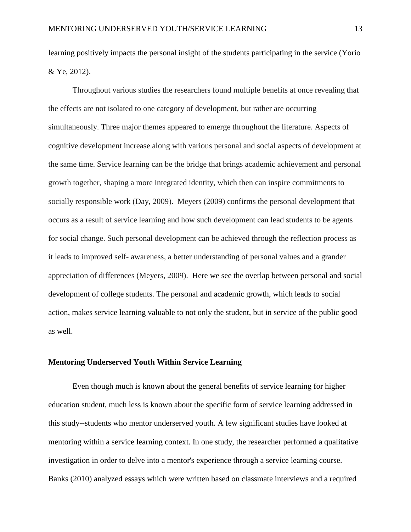learning positively impacts the personal insight of the students participating in the service (Yorio & Ye, 2012).

Throughout various studies the researchers found multiple benefits at once revealing that the effects are not isolated to one category of development, but rather are occurring simultaneously. Three major themes appeared to emerge throughout the literature. Aspects of cognitive development increase along with various personal and social aspects of development at the same time. Service learning can be the bridge that brings academic achievement and personal growth together, shaping a more integrated identity, which then can inspire commitments to socially responsible work (Day, 2009). Meyers (2009) confirms the personal development that occurs as a result of service learning and how such development can lead students to be agents for social change. Such personal development can be achieved through the reflection process as it leads to improved self- awareness, a better understanding of personal values and a grander appreciation of differences (Meyers, 2009). Here we see the overlap between personal and social development of college students. The personal and academic growth, which leads to social action, makes service learning valuable to not only the student, but in service of the public good as well.

### **Mentoring Underserved Youth Within Service Learning**

Even though much is known about the general benefits of service learning for higher education student, much less is known about the specific form of service learning addressed in this study--students who mentor underserved youth. A few significant studies have looked at mentoring within a service learning context. In one study, the researcher performed a qualitative investigation in order to delve into a mentor's experience through a service learning course. Banks (2010) analyzed essays which were written based on classmate interviews and a required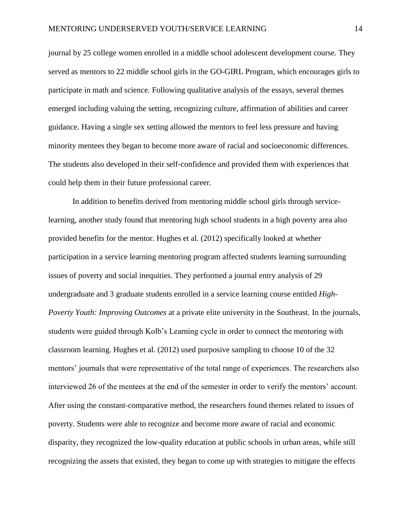journal by 25 college women enrolled in a middle school adolescent development course. They served as mentors to 22 middle school girls in the GO-GIRL Program, which encourages girls to participate in math and science. Following qualitative analysis of the essays, several themes emerged including valuing the setting, recognizing culture, affirmation of abilities and career guidance. Having a single sex setting allowed the mentors to feel less pressure and having minority mentees they began to become more aware of racial and socioeconomic differences. The students also developed in their self-confidence and provided them with experiences that could help them in their future professional career.

In addition to benefits derived from mentoring middle school girls through servicelearning, another study found that mentoring high school students in a high poverty area also provided benefits for the mentor. Hughes et al. (2012) specifically looked at whether participation in a service learning mentoring program affected students learning surrounding issues of poverty and social inequities. They performed a journal entry analysis of 29 undergraduate and 3 graduate students enrolled in a service learning course entitled *High-Poverty Youth: Improving Outcomes* at a private elite university in the Southeast. In the journals, students were guided through Kolb's Learning cycle in order to connect the mentoring with classroom learning. Hughes et al. (2012) used purposive sampling to choose 10 of the 32 mentors' journals that were representative of the total range of experiences. The researchers also interviewed 26 of the mentees at the end of the semester in order to verify the mentors' account. After using the constant-comparative method, the researchers found themes related to issues of poverty. Students were able to recognize and become more aware of racial and economic disparity, they recognized the low-quality education at public schools in urban areas, while still recognizing the assets that existed, they began to come up with strategies to mitigate the effects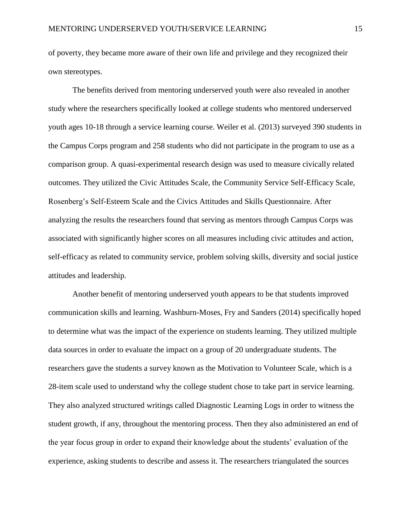of poverty, they became more aware of their own life and privilege and they recognized their own stereotypes.

The benefits derived from mentoring underserved youth were also revealed in another study where the researchers specifically looked at college students who mentored underserved youth ages 10-18 through a service learning course. Weiler et al. (2013) surveyed 390 students in the Campus Corps program and 258 students who did not participate in the program to use as a comparison group. A quasi-experimental research design was used to measure civically related outcomes. They utilized the Civic Attitudes Scale, the Community Service Self-Efficacy Scale, Rosenberg's Self-Esteem Scale and the Civics Attitudes and Skills Questionnaire. After analyzing the results the researchers found that serving as mentors through Campus Corps was associated with significantly higher scores on all measures including civic attitudes and action, self-efficacy as related to community service, problem solving skills, diversity and social justice attitudes and leadership.

Another benefit of mentoring underserved youth appears to be that students improved communication skills and learning. Washburn-Moses, Fry and Sanders (2014) specifically hoped to determine what was the impact of the experience on students learning. They utilized multiple data sources in order to evaluate the impact on a group of 20 undergraduate students. The researchers gave the students a survey known as the Motivation to Volunteer Scale, which is a 28-item scale used to understand why the college student chose to take part in service learning. They also analyzed structured writings called Diagnostic Learning Logs in order to witness the student growth, if any, throughout the mentoring process. Then they also administered an end of the year focus group in order to expand their knowledge about the students' evaluation of the experience, asking students to describe and assess it. The researchers triangulated the sources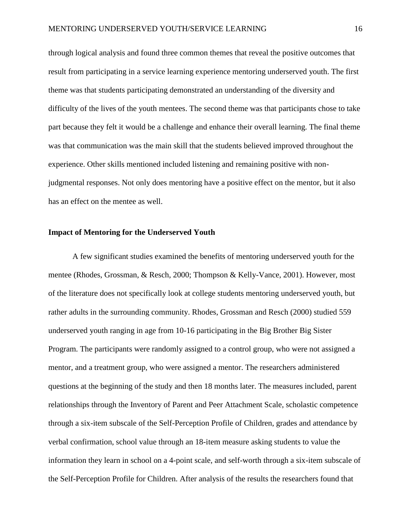through logical analysis and found three common themes that reveal the positive outcomes that result from participating in a service learning experience mentoring underserved youth. The first theme was that students participating demonstrated an understanding of the diversity and difficulty of the lives of the youth mentees. The second theme was that participants chose to take part because they felt it would be a challenge and enhance their overall learning. The final theme was that communication was the main skill that the students believed improved throughout the experience. Other skills mentioned included listening and remaining positive with nonjudgmental responses. Not only does mentoring have a positive effect on the mentor, but it also has an effect on the mentee as well.

### **Impact of Mentoring for the Underserved Youth**

A few significant studies examined the benefits of mentoring underserved youth for the mentee (Rhodes, Grossman, & Resch, 2000; Thompson & Kelly-Vance, 2001). However, most of the literature does not specifically look at college students mentoring underserved youth, but rather adults in the surrounding community. Rhodes, Grossman and Resch (2000) studied 559 underserved youth ranging in age from 10-16 participating in the Big Brother Big Sister Program. The participants were randomly assigned to a control group, who were not assigned a mentor, and a treatment group, who were assigned a mentor. The researchers administered questions at the beginning of the study and then 18 months later. The measures included, parent relationships through the Inventory of Parent and Peer Attachment Scale, scholastic competence through a six-item subscale of the Self-Perception Profile of Children, grades and attendance by verbal confirmation, school value through an 18-item measure asking students to value the information they learn in school on a 4-point scale, and self-worth through a six-item subscale of the Self-Perception Profile for Children. After analysis of the results the researchers found that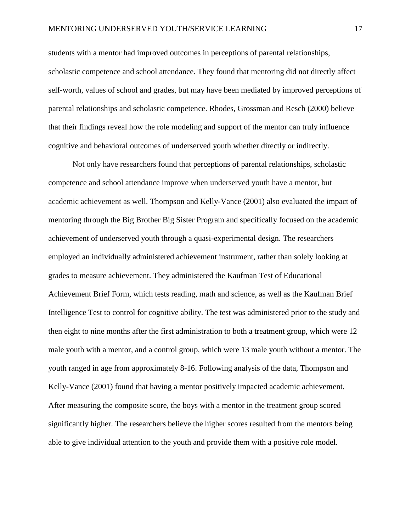students with a mentor had improved outcomes in perceptions of parental relationships, scholastic competence and school attendance. They found that mentoring did not directly affect self-worth, values of school and grades, but may have been mediated by improved perceptions of parental relationships and scholastic competence. Rhodes, Grossman and Resch (2000) believe that their findings reveal how the role modeling and support of the mentor can truly influence cognitive and behavioral outcomes of underserved youth whether directly or indirectly.

Not only have researchers found that perceptions of parental relationships, scholastic competence and school attendance improve when underserved youth have a mentor, but academic achievement as well. Thompson and Kelly-Vance (2001) also evaluated the impact of mentoring through the Big Brother Big Sister Program and specifically focused on the academic achievement of underserved youth through a quasi-experimental design. The researchers employed an individually administered achievement instrument, rather than solely looking at grades to measure achievement. They administered the Kaufman Test of Educational Achievement Brief Form, which tests reading, math and science, as well as the Kaufman Brief Intelligence Test to control for cognitive ability. The test was administered prior to the study and then eight to nine months after the first administration to both a treatment group, which were 12 male youth with a mentor, and a control group, which were 13 male youth without a mentor. The youth ranged in age from approximately 8-16. Following analysis of the data, Thompson and Kelly-Vance (2001) found that having a mentor positively impacted academic achievement. After measuring the composite score, the boys with a mentor in the treatment group scored significantly higher. The researchers believe the higher scores resulted from the mentors being able to give individual attention to the youth and provide them with a positive role model.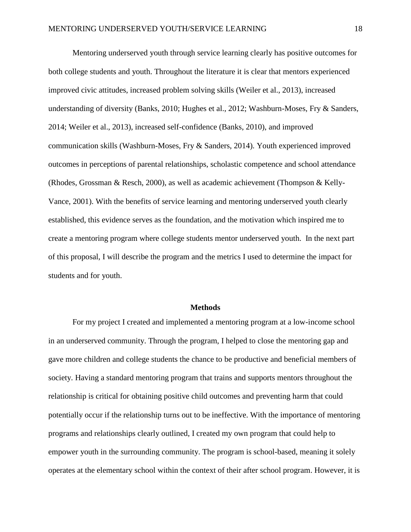Mentoring underserved youth through service learning clearly has positive outcomes for both college students and youth. Throughout the literature it is clear that mentors experienced improved civic attitudes, increased problem solving skills (Weiler et al., 2013), increased understanding of diversity (Banks, 2010; Hughes et al., 2012; Washburn-Moses, Fry & Sanders, 2014; Weiler et al., 2013), increased self-confidence (Banks, 2010), and improved communication skills (Washburn-Moses, Fry & Sanders, 2014). Youth experienced improved outcomes in perceptions of parental relationships, scholastic competence and school attendance (Rhodes, Grossman & Resch, 2000), as well as academic achievement (Thompson & Kelly-Vance, 2001). With the benefits of service learning and mentoring underserved youth clearly established, this evidence serves as the foundation, and the motivation which inspired me to create a mentoring program where college students mentor underserved youth. In the next part of this proposal, I will describe the program and the metrics I used to determine the impact for students and for youth.

#### **Methods**

For my project I created and implemented a mentoring program at a low-income school in an underserved community. Through the program, I helped to close the mentoring gap and gave more children and college students the chance to be productive and beneficial members of society. Having a standard mentoring program that trains and supports mentors throughout the relationship is critical for obtaining positive child outcomes and preventing harm that could potentially occur if the relationship turns out to be ineffective. With the importance of mentoring programs and relationships clearly outlined, I created my own program that could help to empower youth in the surrounding community. The program is school-based, meaning it solely operates at the elementary school within the context of their after school program. However, it is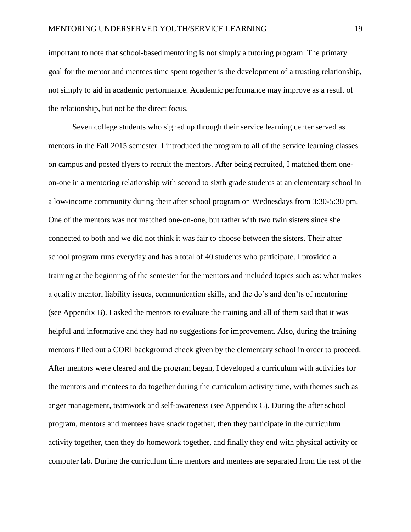important to note that school-based mentoring is not simply a tutoring program. The primary goal for the mentor and mentees time spent together is the development of a trusting relationship, not simply to aid in academic performance. Academic performance may improve as a result of the relationship, but not be the direct focus.

Seven college students who signed up through their service learning center served as mentors in the Fall 2015 semester. I introduced the program to all of the service learning classes on campus and posted flyers to recruit the mentors. After being recruited, I matched them oneon-one in a mentoring relationship with second to sixth grade students at an elementary school in a low-income community during their after school program on Wednesdays from 3:30-5:30 pm. One of the mentors was not matched one-on-one, but rather with two twin sisters since she connected to both and we did not think it was fair to choose between the sisters. Their after school program runs everyday and has a total of 40 students who participate. I provided a training at the beginning of the semester for the mentors and included topics such as: what makes a quality mentor, liability issues, communication skills, and the do's and don'ts of mentoring (see Appendix B). I asked the mentors to evaluate the training and all of them said that it was helpful and informative and they had no suggestions for improvement. Also, during the training mentors filled out a CORI background check given by the elementary school in order to proceed. After mentors were cleared and the program began, I developed a curriculum with activities for the mentors and mentees to do together during the curriculum activity time, with themes such as anger management, teamwork and self-awareness (see Appendix C). During the after school program, mentors and mentees have snack together, then they participate in the curriculum activity together, then they do homework together, and finally they end with physical activity or computer lab. During the curriculum time mentors and mentees are separated from the rest of the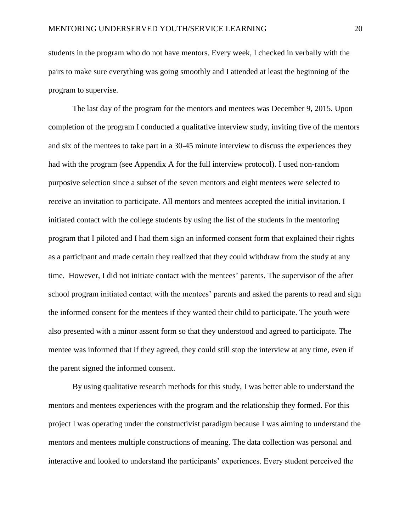students in the program who do not have mentors. Every week, I checked in verbally with the pairs to make sure everything was going smoothly and I attended at least the beginning of the program to supervise.

The last day of the program for the mentors and mentees was December 9, 2015. Upon completion of the program I conducted a qualitative interview study, inviting five of the mentors and six of the mentees to take part in a 30-45 minute interview to discuss the experiences they had with the program (see Appendix A for the full interview protocol). I used non-random purposive selection since a subset of the seven mentors and eight mentees were selected to receive an invitation to participate. All mentors and mentees accepted the initial invitation. I initiated contact with the college students by using the list of the students in the mentoring program that I piloted and I had them sign an informed consent form that explained their rights as a participant and made certain they realized that they could withdraw from the study at any time. However, I did not initiate contact with the mentees' parents. The supervisor of the after school program initiated contact with the mentees' parents and asked the parents to read and sign the informed consent for the mentees if they wanted their child to participate. The youth were also presented with a minor assent form so that they understood and agreed to participate. The mentee was informed that if they agreed, they could still stop the interview at any time, even if the parent signed the informed consent.

By using qualitative research methods for this study, I was better able to understand the mentors and mentees experiences with the program and the relationship they formed. For this project I was operating under the constructivist paradigm because I was aiming to understand the mentors and mentees multiple constructions of meaning. The data collection was personal and interactive and looked to understand the participants' experiences. Every student perceived the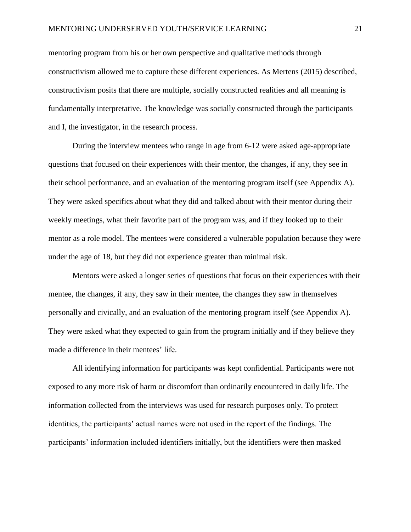mentoring program from his or her own perspective and qualitative methods through constructivism allowed me to capture these different experiences. As Mertens (2015) described, constructivism posits that there are multiple, socially constructed realities and all meaning is fundamentally interpretative. The knowledge was socially constructed through the participants and I, the investigator, in the research process.

During the interview mentees who range in age from 6-12 were asked age-appropriate questions that focused on their experiences with their mentor, the changes, if any, they see in their school performance, and an evaluation of the mentoring program itself (see Appendix A). They were asked specifics about what they did and talked about with their mentor during their weekly meetings, what their favorite part of the program was, and if they looked up to their mentor as a role model. The mentees were considered a vulnerable population because they were under the age of 18, but they did not experience greater than minimal risk.

Mentors were asked a longer series of questions that focus on their experiences with their mentee, the changes, if any, they saw in their mentee, the changes they saw in themselves personally and civically, and an evaluation of the mentoring program itself (see Appendix A). They were asked what they expected to gain from the program initially and if they believe they made a difference in their mentees' life.

All identifying information for participants was kept confidential. Participants were not exposed to any more risk of harm or discomfort than ordinarily encountered in daily life. The information collected from the interviews was used for research purposes only. To protect identities, the participants' actual names were not used in the report of the findings. The participants' information included identifiers initially, but the identifiers were then masked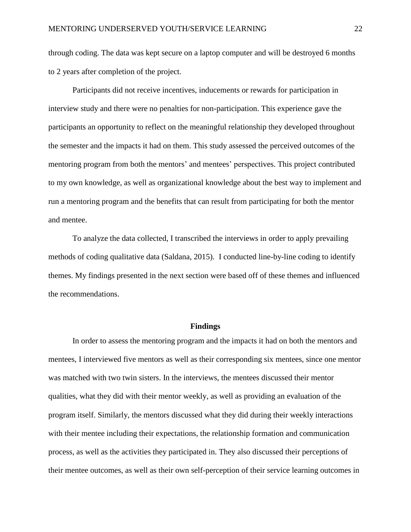through coding. The data was kept secure on a laptop computer and will be destroyed 6 months to 2 years after completion of the project.

Participants did not receive incentives, inducements or rewards for participation in interview study and there were no penalties for non-participation. This experience gave the participants an opportunity to reflect on the meaningful relationship they developed throughout the semester and the impacts it had on them. This study assessed the perceived outcomes of the mentoring program from both the mentors' and mentees' perspectives. This project contributed to my own knowledge, as well as organizational knowledge about the best way to implement and run a mentoring program and the benefits that can result from participating for both the mentor and mentee.

To analyze the data collected, I transcribed the interviews in order to apply prevailing methods of coding qualitative data (Saldana, 2015). I conducted line-by-line coding to identify themes. My findings presented in the next section were based off of these themes and influenced the recommendations.

#### **Findings**

In order to assess the mentoring program and the impacts it had on both the mentors and mentees, I interviewed five mentors as well as their corresponding six mentees, since one mentor was matched with two twin sisters. In the interviews, the mentees discussed their mentor qualities, what they did with their mentor weekly, as well as providing an evaluation of the program itself. Similarly, the mentors discussed what they did during their weekly interactions with their mentee including their expectations, the relationship formation and communication process, as well as the activities they participated in. They also discussed their perceptions of their mentee outcomes, as well as their own self-perception of their service learning outcomes in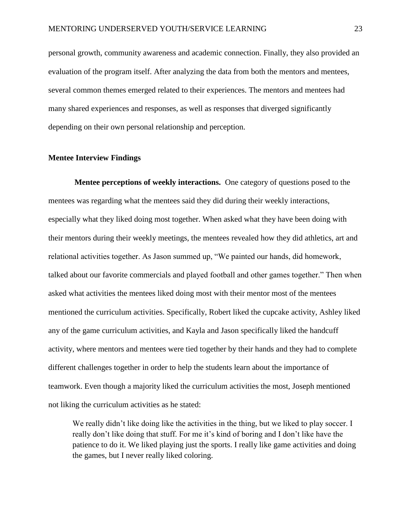personal growth, community awareness and academic connection. Finally, they also provided an evaluation of the program itself. After analyzing the data from both the mentors and mentees, several common themes emerged related to their experiences. The mentors and mentees had many shared experiences and responses, as well as responses that diverged significantly depending on their own personal relationship and perception.

#### **Mentee Interview Findings**

**Mentee perceptions of weekly interactions.** One category of questions posed to the mentees was regarding what the mentees said they did during their weekly interactions, especially what they liked doing most together. When asked what they have been doing with their mentors during their weekly meetings, the mentees revealed how they did athletics, art and relational activities together. As Jason summed up, "We painted our hands, did homework, talked about our favorite commercials and played football and other games together." Then when asked what activities the mentees liked doing most with their mentor most of the mentees mentioned the curriculum activities. Specifically, Robert liked the cupcake activity, Ashley liked any of the game curriculum activities, and Kayla and Jason specifically liked the handcuff activity, where mentors and mentees were tied together by their hands and they had to complete different challenges together in order to help the students learn about the importance of teamwork. Even though a majority liked the curriculum activities the most, Joseph mentioned not liking the curriculum activities as he stated:

We really didn't like doing like the activities in the thing, but we liked to play soccer. I really don't like doing that stuff. For me it's kind of boring and I don't like have the patience to do it. We liked playing just the sports. I really like game activities and doing the games, but I never really liked coloring.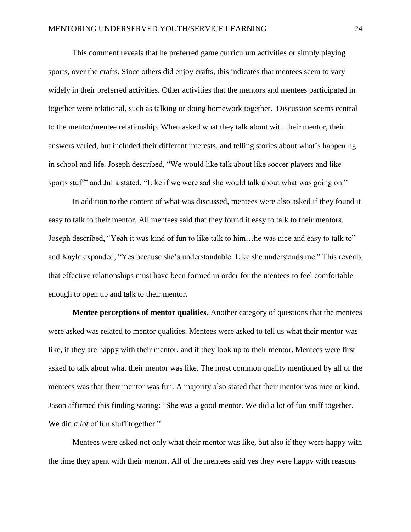This comment reveals that he preferred game curriculum activities or simply playing sports, over the crafts. Since others did enjoy crafts, this indicates that mentees seem to vary widely in their preferred activities. Other activities that the mentors and mentees participated in together were relational, such as talking or doing homework together. Discussion seems central to the mentor/mentee relationship. When asked what they talk about with their mentor, their answers varied, but included their different interests, and telling stories about what's happening in school and life. Joseph described, "We would like talk about like soccer players and like sports stuff" and Julia stated, "Like if we were sad she would talk about what was going on."

In addition to the content of what was discussed, mentees were also asked if they found it easy to talk to their mentor. All mentees said that they found it easy to talk to their mentors. Joseph described, "Yeah it was kind of fun to like talk to him…he was nice and easy to talk to" and Kayla expanded, "Yes because she's understandable. Like she understands me." This reveals that effective relationships must have been formed in order for the mentees to feel comfortable enough to open up and talk to their mentor.

**Mentee perceptions of mentor qualities.** Another category of questions that the mentees were asked was related to mentor qualities. Mentees were asked to tell us what their mentor was like, if they are happy with their mentor, and if they look up to their mentor. Mentees were first asked to talk about what their mentor was like. The most common quality mentioned by all of the mentees was that their mentor was fun. A majority also stated that their mentor was nice or kind. Jason affirmed this finding stating: "She was a good mentor. We did a lot of fun stuff together. We did *a lot* of fun stuff together."

Mentees were asked not only what their mentor was like, but also if they were happy with the time they spent with their mentor. All of the mentees said yes they were happy with reasons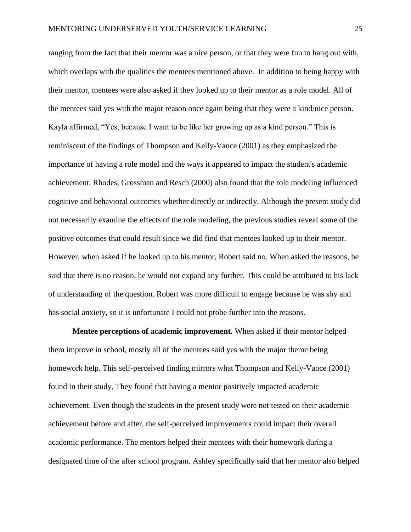ranging from the fact that their mentor was a nice person, or that they were fun to hang out with, which overlaps with the qualities the mentees mentioned above. In addition to being happy with their mentor, mentees were also asked if they looked up to their mentor as a role model. All of the mentees said yes with the major reason once again being that they were a kind/nice person. Kayla affirmed, "Yes, because I want to be like her growing up as a kind person." This is reminiscent of the findings of Thompson and Kelly-Vance (2001) as they emphasized the importance of having a role model and the ways it appeared to impact the student's academic achievement. Rhodes, Grossman and Resch (2000) also found that the role modeling influenced cognitive and behavioral outcomes whether directly or indirectly. Although the present study did not necessarily examine the effects of the role modeling, the previous studies reveal some of the positive outcomes that could result since we did find that mentees looked up to their mentor. However, when asked if he looked up to his mentor, Robert said no. When asked the reasons, he said that there is no reason, he would not expand any further. This could be attributed to his lack of understanding of the question. Robert was more difficult to engage because he was shy and has social anxiety, so it is unfortunate I could not probe further into the reasons.

**Mentee perceptions of academic improvement.** When asked if their mentor helped them improve in school, mostly all of the mentees said yes with the major theme being homework help. This self-perceived finding mirrors what Thompson and Kelly-Vance (2001) found in their study. They found that having a mentor positively impacted academic achievement. Even though the students in the present study were not tested on their academic achievement before and after, the self-perceived improvements could impact their overall academic performance. The mentors helped their mentees with their homework during a designated time of the after school program. Ashley specifically said that her mentor also helped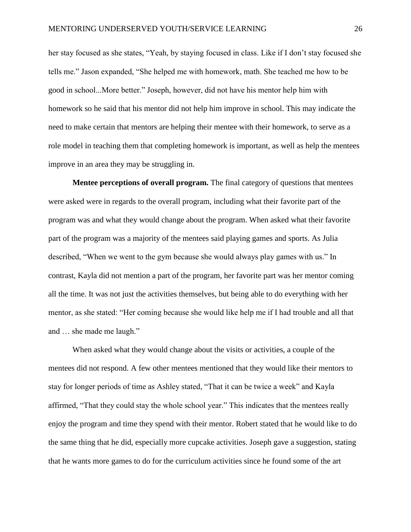her stay focused as she states, "Yeah, by staying focused in class. Like if I don't stay focused she tells me." Jason expanded, "She helped me with homework, math. She teached me how to be good in school...More better." Joseph, however, did not have his mentor help him with homework so he said that his mentor did not help him improve in school. This may indicate the need to make certain that mentors are helping their mentee with their homework, to serve as a role model in teaching them that completing homework is important, as well as help the mentees improve in an area they may be struggling in.

**Mentee perceptions of overall program.** The final category of questions that mentees were asked were in regards to the overall program, including what their favorite part of the program was and what they would change about the program. When asked what their favorite part of the program was a majority of the mentees said playing games and sports. As Julia described, "When we went to the gym because she would always play games with us." In contrast, Kayla did not mention a part of the program, her favorite part was her mentor coming all the time. It was not just the activities themselves, but being able to do everything with her mentor, as she stated: "Her coming because she would like help me if I had trouble and all that and … she made me laugh."

When asked what they would change about the visits or activities, a couple of the mentees did not respond. A few other mentees mentioned that they would like their mentors to stay for longer periods of time as Ashley stated, "That it can be twice a week" and Kayla affirmed, "That they could stay the whole school year." This indicates that the mentees really enjoy the program and time they spend with their mentor. Robert stated that he would like to do the same thing that he did, especially more cupcake activities. Joseph gave a suggestion, stating that he wants more games to do for the curriculum activities since he found some of the art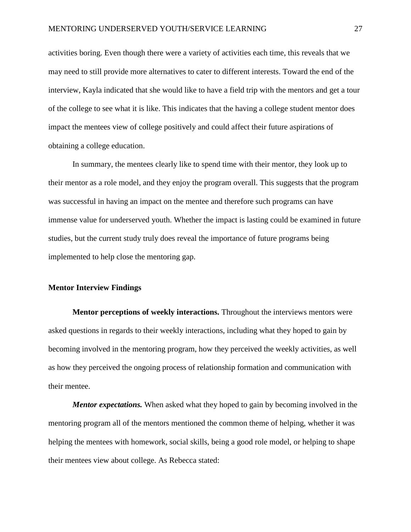activities boring. Even though there were a variety of activities each time, this reveals that we may need to still provide more alternatives to cater to different interests. Toward the end of the interview, Kayla indicated that she would like to have a field trip with the mentors and get a tour of the college to see what it is like. This indicates that the having a college student mentor does impact the mentees view of college positively and could affect their future aspirations of obtaining a college education.

In summary, the mentees clearly like to spend time with their mentor, they look up to their mentor as a role model, and they enjoy the program overall. This suggests that the program was successful in having an impact on the mentee and therefore such programs can have immense value for underserved youth. Whether the impact is lasting could be examined in future studies, but the current study truly does reveal the importance of future programs being implemented to help close the mentoring gap.

### **Mentor Interview Findings**

**Mentor perceptions of weekly interactions.** Throughout the interviews mentors were asked questions in regards to their weekly interactions, including what they hoped to gain by becoming involved in the mentoring program, how they perceived the weekly activities, as well as how they perceived the ongoing process of relationship formation and communication with their mentee.

*Mentor expectations.* When asked what they hoped to gain by becoming involved in the mentoring program all of the mentors mentioned the common theme of helping, whether it was helping the mentees with homework, social skills, being a good role model, or helping to shape their mentees view about college. As Rebecca stated: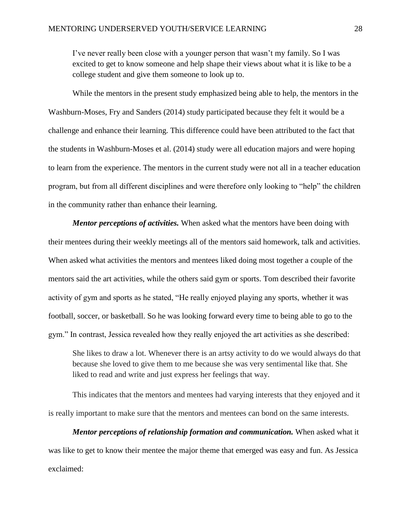I've never really been close with a younger person that wasn't my family. So I was excited to get to know someone and help shape their views about what it is like to be a college student and give them someone to look up to.

While the mentors in the present study emphasized being able to help, the mentors in the Washburn-Moses, Fry and Sanders (2014) study participated because they felt it would be a challenge and enhance their learning. This difference could have been attributed to the fact that the students in Washburn-Moses et al. (2014) study were all education majors and were hoping to learn from the experience. The mentors in the current study were not all in a teacher education program, but from all different disciplines and were therefore only looking to "help" the children in the community rather than enhance their learning.

*Mentor perceptions of activities.* When asked what the mentors have been doing with their mentees during their weekly meetings all of the mentors said homework, talk and activities. When asked what activities the mentors and mentees liked doing most together a couple of the mentors said the art activities, while the others said gym or sports. Tom described their favorite activity of gym and sports as he stated, "He really enjoyed playing any sports, whether it was football, soccer, or basketball. So he was looking forward every time to being able to go to the gym." In contrast, Jessica revealed how they really enjoyed the art activities as she described:

She likes to draw a lot. Whenever there is an artsy activity to do we would always do that because she loved to give them to me because she was very sentimental like that. She liked to read and write and just express her feelings that way.

This indicates that the mentors and mentees had varying interests that they enjoyed and it is really important to make sure that the mentors and mentees can bond on the same interests.

*Mentor perceptions of relationship formation and communication.* When asked what it was like to get to know their mentee the major theme that emerged was easy and fun. As Jessica exclaimed: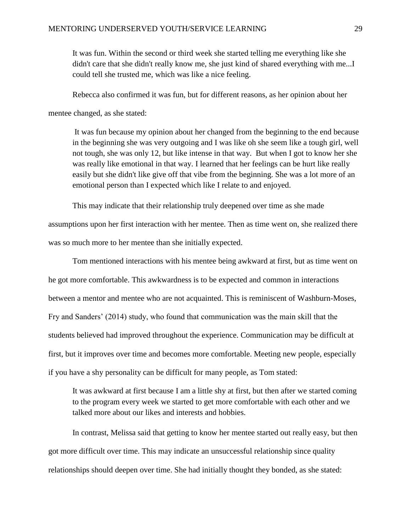It was fun. Within the second or third week she started telling me everything like she didn't care that she didn't really know me, she just kind of shared everything with me...I could tell she trusted me, which was like a nice feeling.

Rebecca also confirmed it was fun, but for different reasons, as her opinion about her

mentee changed, as she stated:

It was fun because my opinion about her changed from the beginning to the end because in the beginning she was very outgoing and I was like oh she seem like a tough girl, well not tough, she was only 12, but like intense in that way. But when I got to know her she was really like emotional in that way. I learned that her feelings can be hurt like really easily but she didn't like give off that vibe from the beginning. She was a lot more of an emotional person than I expected which like I relate to and enjoyed.

This may indicate that their relationship truly deepened over time as she made

assumptions upon her first interaction with her mentee. Then as time went on, she realized there was so much more to her mentee than she initially expected.

Tom mentioned interactions with his mentee being awkward at first, but as time went on he got more comfortable. This awkwardness is to be expected and common in interactions between a mentor and mentee who are not acquainted. This is reminiscent of Washburn-Moses, Fry and Sanders' (2014) study, who found that communication was the main skill that the students believed had improved throughout the experience. Communication may be difficult at first, but it improves over time and becomes more comfortable. Meeting new people, especially if you have a shy personality can be difficult for many people, as Tom stated:

It was awkward at first because I am a little shy at first, but then after we started coming to the program every week we started to get more comfortable with each other and we talked more about our likes and interests and hobbies.

In contrast, Melissa said that getting to know her mentee started out really easy, but then got more difficult over time. This may indicate an unsuccessful relationship since quality relationships should deepen over time. She had initially thought they bonded, as she stated: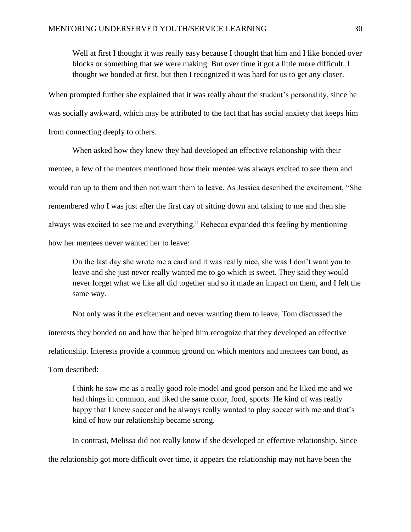Well at first I thought it was really easy because I thought that him and I like bonded over blocks or something that we were making. But over time it got a little more difficult. I thought we bonded at first, but then I recognized it was hard for us to get any closer.

When prompted further she explained that it was really about the student's personality, since he was socially awkward, which may be attributed to the fact that has social anxiety that keeps him from connecting deeply to others.

When asked how they knew they had developed an effective relationship with their mentee, a few of the mentors mentioned how their mentee was always excited to see them and would run up to them and then not want them to leave. As Jessica described the excitement, "She remembered who I was just after the first day of sitting down and talking to me and then she always was excited to see me and everything." Rebecca expanded this feeling by mentioning how her mentees never wanted her to leave:

On the last day she wrote me a card and it was really nice, she was I don't want you to leave and she just never really wanted me to go which is sweet. They said they would never forget what we like all did together and so it made an impact on them, and I felt the same way.

Not only was it the excitement and never wanting them to leave, Tom discussed the interests they bonded on and how that helped him recognize that they developed an effective relationship. Interests provide a common ground on which mentors and mentees can bond, as Tom described:

I think he saw me as a really good role model and good person and he liked me and we had things in common, and liked the same color, food, sports. He kind of was really happy that I knew soccer and he always really wanted to play soccer with me and that's kind of how our relationship became strong.

In contrast, Melissa did not really know if she developed an effective relationship. Since the relationship got more difficult over time, it appears the relationship may not have been the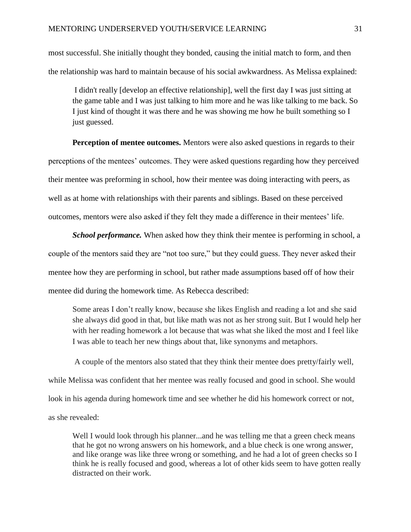most successful. She initially thought they bonded, causing the initial match to form, and then the relationship was hard to maintain because of his social awkwardness. As Melissa explained:

I didn't really [develop an effective relationship], well the first day I was just sitting at the game table and I was just talking to him more and he was like talking to me back. So I just kind of thought it was there and he was showing me how he built something so I just guessed.

**Perception of mentee outcomes.** Mentors were also asked questions in regards to their perceptions of the mentees' outcomes. They were asked questions regarding how they perceived their mentee was preforming in school, how their mentee was doing interacting with peers, as well as at home with relationships with their parents and siblings. Based on these perceived outcomes, mentors were also asked if they felt they made a difference in their mentees' life.

*School performance*. When asked how they think their mentee is performing in school, a couple of the mentors said they are "not too sure," but they could guess. They never asked their mentee how they are performing in school, but rather made assumptions based off of how their mentee did during the homework time. As Rebecca described:

Some areas I don't really know, because she likes English and reading a lot and she said she always did good in that, but like math was not as her strong suit. But I would help her with her reading homework a lot because that was what she liked the most and I feel like I was able to teach her new things about that, like synonyms and metaphors.

A couple of the mentors also stated that they think their mentee does pretty/fairly well, while Melissa was confident that her mentee was really focused and good in school. She would look in his agenda during homework time and see whether he did his homework correct or not, as she revealed:

Well I would look through his planner...and he was telling me that a green check means that he got no wrong answers on his homework, and a blue check is one wrong answer, and like orange was like three wrong or something, and he had a lot of green checks so I think he is really focused and good, whereas a lot of other kids seem to have gotten really distracted on their work.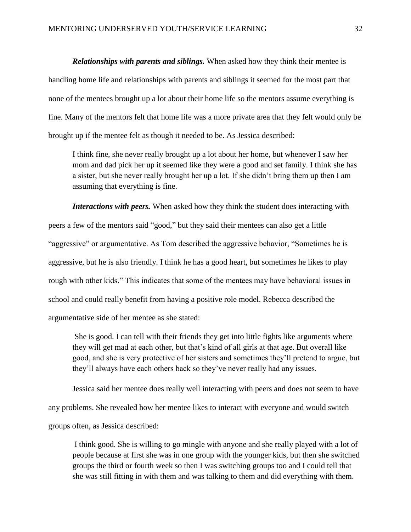*Relationships with parents and siblings.* When asked how they think their mentee is handling home life and relationships with parents and siblings it seemed for the most part that none of the mentees brought up a lot about their home life so the mentors assume everything is fine. Many of the mentors felt that home life was a more private area that they felt would only be brought up if the mentee felt as though it needed to be. As Jessica described:

I think fine, she never really brought up a lot about her home, but whenever I saw her mom and dad pick her up it seemed like they were a good and set family. I think she has a sister, but she never really brought her up a lot. If she didn't bring them up then I am assuming that everything is fine.

*Interactions with peers.* When asked how they think the student does interacting with peers a few of the mentors said "good," but they said their mentees can also get a little "aggressive" or argumentative. As Tom described the aggressive behavior, "Sometimes he is aggressive, but he is also friendly. I think he has a good heart, but sometimes he likes to play rough with other kids." This indicates that some of the mentees may have behavioral issues in school and could really benefit from having a positive role model. Rebecca described the argumentative side of her mentee as she stated:

She is good. I can tell with their friends they get into little fights like arguments where they will get mad at each other, but that's kind of all girls at that age. But overall like good, and she is very protective of her sisters and sometimes they'll pretend to argue, but they'll always have each others back so they've never really had any issues.

Jessica said her mentee does really well interacting with peers and does not seem to have

any problems. She revealed how her mentee likes to interact with everyone and would switch

groups often, as Jessica described:

I think good. She is willing to go mingle with anyone and she really played with a lot of people because at first she was in one group with the younger kids, but then she switched groups the third or fourth week so then I was switching groups too and I could tell that she was still fitting in with them and was talking to them and did everything with them.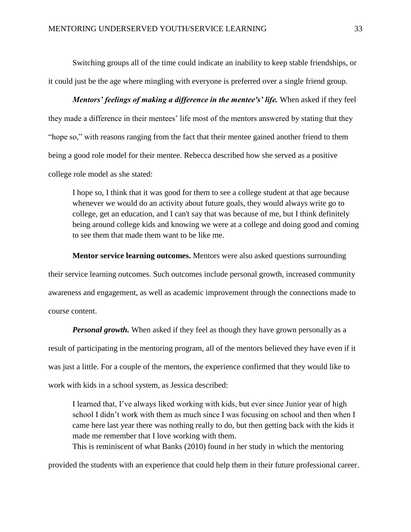Switching groups all of the time could indicate an inability to keep stable friendships, or it could just be the age where mingling with everyone is preferred over a single friend group.

*Mentors' feelings of making a difference in the mentee's' life.* When asked if they feel they made a difference in their mentees' life most of the mentors answered by stating that they "hope so," with reasons ranging from the fact that their mentee gained another friend to them being a good role model for their mentee. Rebecca described how she served as a positive college role model as she stated:

I hope so, I think that it was good for them to see a college student at that age because whenever we would do an activity about future goals, they would always write go to college, get an education, and I can't say that was because of me, but I think definitely being around college kids and knowing we were at a college and doing good and coming to see them that made them want to be like me.

**Mentor service learning outcomes.** Mentors were also asked questions surrounding their service learning outcomes. Such outcomes include personal growth, increased community awareness and engagement, as well as academic improvement through the connections made to course content.

*Personal growth.* When asked if they feel as though they have grown personally as a result of participating in the mentoring program, all of the mentors believed they have even if it was just a little. For a couple of the mentors, the experience confirmed that they would like to work with kids in a school system, as Jessica described:

I learned that, I've always liked working with kids, but ever since Junior year of high school I didn't work with them as much since I was focusing on school and then when I came here last year there was nothing really to do, but then getting back with the kids it made me remember that I love working with them.

This is reminiscent of what Banks (2010) found in her study in which the mentoring

provided the students with an experience that could help them in their future professional career.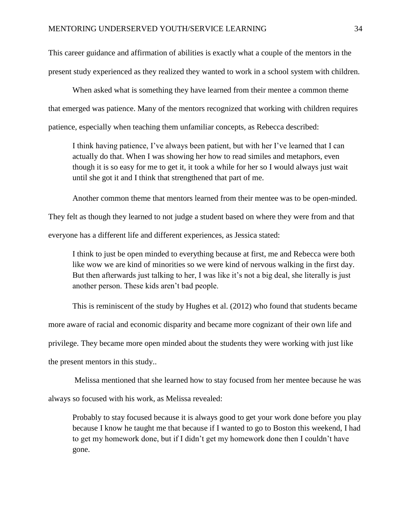This career guidance and affirmation of abilities is exactly what a couple of the mentors in the present study experienced as they realized they wanted to work in a school system with children.

When asked what is something they have learned from their mentee a common theme that emerged was patience. Many of the mentors recognized that working with children requires patience, especially when teaching them unfamiliar concepts, as Rebecca described:

I think having patience, I've always been patient, but with her I've learned that I can actually do that. When I was showing her how to read similes and metaphors, even though it is so easy for me to get it, it took a while for her so I would always just wait until she got it and I think that strengthened that part of me.

Another common theme that mentors learned from their mentee was to be open-minded.

They felt as though they learned to not judge a student based on where they were from and that

everyone has a different life and different experiences, as Jessica stated:

I think to just be open minded to everything because at first, me and Rebecca were both like wow we are kind of minorities so we were kind of nervous walking in the first day. But then afterwards just talking to her, I was like it's not a big deal, she literally is just another person. These kids aren't bad people.

This is reminiscent of the study by Hughes et al. (2012) who found that students became

more aware of racial and economic disparity and became more cognizant of their own life and

privilege. They became more open minded about the students they were working with just like

the present mentors in this study..

Melissa mentioned that she learned how to stay focused from her mentee because he was

always so focused with his work, as Melissa revealed:

Probably to stay focused because it is always good to get your work done before you play because I know he taught me that because if I wanted to go to Boston this weekend, I had to get my homework done, but if I didn't get my homework done then I couldn't have gone.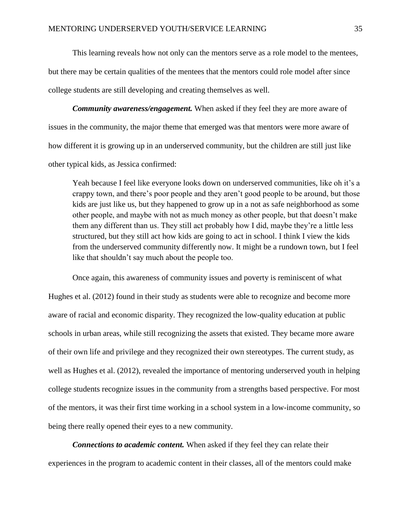This learning reveals how not only can the mentors serve as a role model to the mentees, but there may be certain qualities of the mentees that the mentors could role model after since college students are still developing and creating themselves as well.

*Community awareness/engagement.* When asked if they feel they are more aware of issues in the community, the major theme that emerged was that mentors were more aware of how different it is growing up in an underserved community, but the children are still just like other typical kids, as Jessica confirmed:

Yeah because I feel like everyone looks down on underserved communities, like oh it's a crappy town, and there's poor people and they aren't good people to be around, but those kids are just like us, but they happened to grow up in a not as safe neighborhood as some other people, and maybe with not as much money as other people, but that doesn't make them any different than us. They still act probably how I did, maybe they're a little less structured, but they still act how kids are going to act in school. I think I view the kids from the underserved community differently now. It might be a rundown town, but I feel like that shouldn't say much about the people too.

Once again, this awareness of community issues and poverty is reminiscent of what Hughes et al. (2012) found in their study as students were able to recognize and become more aware of racial and economic disparity. They recognized the low-quality education at public schools in urban areas, while still recognizing the assets that existed. They became more aware of their own life and privilege and they recognized their own stereotypes. The current study, as well as Hughes et al. (2012), revealed the importance of mentoring underserved youth in helping college students recognize issues in the community from a strengths based perspective. For most of the mentors, it was their first time working in a school system in a low-income community, so being there really opened their eyes to a new community.

*Connections to academic content.* When asked if they feel they can relate their experiences in the program to academic content in their classes, all of the mentors could make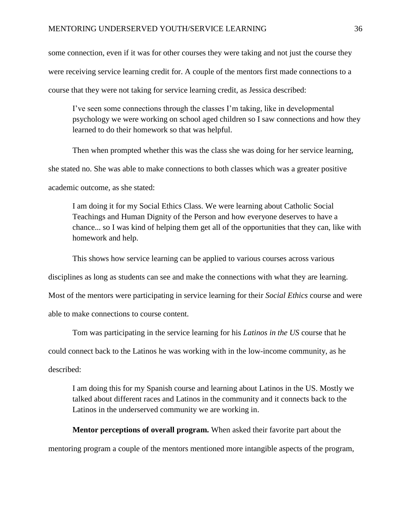some connection, even if it was for other courses they were taking and not just the course they were receiving service learning credit for. A couple of the mentors first made connections to a course that they were not taking for service learning credit, as Jessica described:

I've seen some connections through the classes I'm taking, like in developmental psychology we were working on school aged children so I saw connections and how they learned to do their homework so that was helpful.

Then when prompted whether this was the class she was doing for her service learning, she stated no. She was able to make connections to both classes which was a greater positive academic outcome, as she stated:

I am doing it for my Social Ethics Class. We were learning about Catholic Social Teachings and Human Dignity of the Person and how everyone deserves to have a chance... so I was kind of helping them get all of the opportunities that they can, like with homework and help.

This shows how service learning can be applied to various courses across various

disciplines as long as students can see and make the connections with what they are learning.

Most of the mentors were participating in service learning for their *Social Ethics* course and were

able to make connections to course content.

Tom was participating in the service learning for his *Latinos in the US* course that he could connect back to the Latinos he was working with in the low-income community, as he described:

I am doing this for my Spanish course and learning about Latinos in the US. Mostly we talked about different races and Latinos in the community and it connects back to the Latinos in the underserved community we are working in.

**Mentor perceptions of overall program.** When asked their favorite part about the mentoring program a couple of the mentors mentioned more intangible aspects of the program,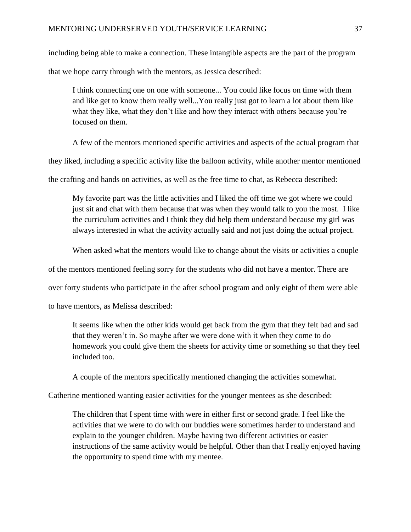including being able to make a connection. These intangible aspects are the part of the program that we hope carry through with the mentors, as Jessica described:

I think connecting one on one with someone... You could like focus on time with them and like get to know them really well...You really just got to learn a lot about them like what they like, what they don't like and how they interact with others because you're focused on them.

A few of the mentors mentioned specific activities and aspects of the actual program that

they liked, including a specific activity like the balloon activity, while another mentor mentioned

the crafting and hands on activities, as well as the free time to chat, as Rebecca described:

My favorite part was the little activities and I liked the off time we got where we could just sit and chat with them because that was when they would talk to you the most. I like the curriculum activities and I think they did help them understand because my girl was always interested in what the activity actually said and not just doing the actual project.

When asked what the mentors would like to change about the visits or activities a couple

of the mentors mentioned feeling sorry for the students who did not have a mentor. There are

over forty students who participate in the after school program and only eight of them were able

to have mentors, as Melissa described:

It seems like when the other kids would get back from the gym that they felt bad and sad that they weren't in. So maybe after we were done with it when they come to do homework you could give them the sheets for activity time or something so that they feel included too.

A couple of the mentors specifically mentioned changing the activities somewhat.

Catherine mentioned wanting easier activities for the younger mentees as she described:

The children that I spent time with were in either first or second grade. I feel like the activities that we were to do with our buddies were sometimes harder to understand and explain to the younger children. Maybe having two different activities or easier instructions of the same activity would be helpful. Other than that I really enjoyed having the opportunity to spend time with my mentee.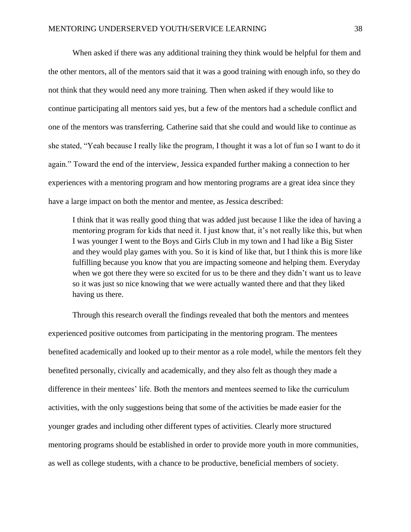When asked if there was any additional training they think would be helpful for them and the other mentors, all of the mentors said that it was a good training with enough info, so they do not think that they would need any more training. Then when asked if they would like to continue participating all mentors said yes, but a few of the mentors had a schedule conflict and one of the mentors was transferring. Catherine said that she could and would like to continue as she stated, "Yeah because I really like the program, I thought it was a lot of fun so I want to do it again." Toward the end of the interview, Jessica expanded further making a connection to her experiences with a mentoring program and how mentoring programs are a great idea since they have a large impact on both the mentor and mentee, as Jessica described:

I think that it was really good thing that was added just because I like the idea of having a mentoring program for kids that need it. I just know that, it's not really like this, but when I was younger I went to the Boys and Girls Club in my town and I had like a Big Sister and they would play games with you. So it is kind of like that, but I think this is more like fulfilling because you know that you are impacting someone and helping them. Everyday when we got there they were so excited for us to be there and they didn't want us to leave so it was just so nice knowing that we were actually wanted there and that they liked having us there.

Through this research overall the findings revealed that both the mentors and mentees experienced positive outcomes from participating in the mentoring program. The mentees benefited academically and looked up to their mentor as a role model, while the mentors felt they benefited personally, civically and academically, and they also felt as though they made a difference in their mentees' life. Both the mentors and mentees seemed to like the curriculum activities, with the only suggestions being that some of the activities be made easier for the younger grades and including other different types of activities. Clearly more structured mentoring programs should be established in order to provide more youth in more communities, as well as college students, with a chance to be productive, beneficial members of society.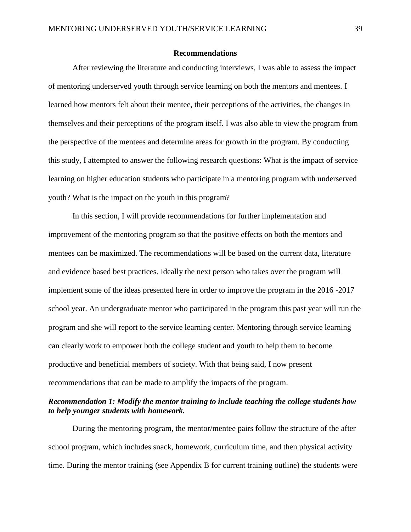#### **Recommendations**

After reviewing the literature and conducting interviews, I was able to assess the impact of mentoring underserved youth through service learning on both the mentors and mentees. I learned how mentors felt about their mentee, their perceptions of the activities, the changes in themselves and their perceptions of the program itself. I was also able to view the program from the perspective of the mentees and determine areas for growth in the program. By conducting this study, I attempted to answer the following research questions: What is the impact of service learning on higher education students who participate in a mentoring program with underserved youth? What is the impact on the youth in this program?

In this section, I will provide recommendations for further implementation and improvement of the mentoring program so that the positive effects on both the mentors and mentees can be maximized. The recommendations will be based on the current data, literature and evidence based best practices. Ideally the next person who takes over the program will implement some of the ideas presented here in order to improve the program in the 2016 -2017 school year. An undergraduate mentor who participated in the program this past year will run the program and she will report to the service learning center. Mentoring through service learning can clearly work to empower both the college student and youth to help them to become productive and beneficial members of society. With that being said, I now present recommendations that can be made to amplify the impacts of the program.

# *Recommendation 1: Modify the mentor training to include teaching the college students how to help younger students with homework.*

During the mentoring program, the mentor/mentee pairs follow the structure of the after school program, which includes snack, homework, curriculum time, and then physical activity time. During the mentor training (see Appendix B for current training outline) the students were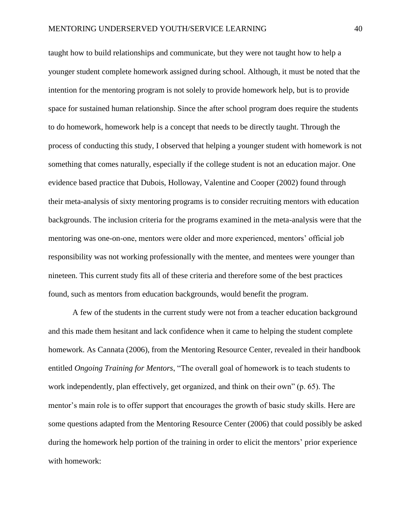taught how to build relationships and communicate, but they were not taught how to help a younger student complete homework assigned during school. Although, it must be noted that the intention for the mentoring program is not solely to provide homework help, but is to provide space for sustained human relationship. Since the after school program does require the students to do homework, homework help is a concept that needs to be directly taught. Through the process of conducting this study, I observed that helping a younger student with homework is not something that comes naturally, especially if the college student is not an education major. One evidence based practice that Dubois, Holloway, Valentine and Cooper (2002) found through their meta-analysis of sixty mentoring programs is to consider recruiting mentors with education backgrounds. The inclusion criteria for the programs examined in the meta-analysis were that the mentoring was one-on-one, mentors were older and more experienced, mentors' official job responsibility was not working professionally with the mentee, and mentees were younger than nineteen. This current study fits all of these criteria and therefore some of the best practices found, such as mentors from education backgrounds, would benefit the program.

A few of the students in the current study were not from a teacher education background and this made them hesitant and lack confidence when it came to helping the student complete homework. As Cannata (2006), from the Mentoring Resource Center, revealed in their handbook entitled *Ongoing Training for Mentors*, "The overall goal of homework is to teach students to work independently, plan effectively, get organized, and think on their own" (p. 65). The mentor's main role is to offer support that encourages the growth of basic study skills. Here are some questions adapted from the Mentoring Resource Center (2006) that could possibly be asked during the homework help portion of the training in order to elicit the mentors' prior experience with homework: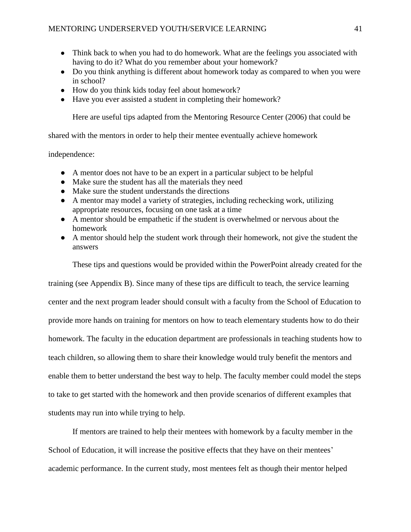- Think back to when you had to do homework. What are the feelings you associated with having to do it? What do you remember about your homework?
- Do you think anything is different about homework today as compared to when you were in school?
- How do you think kids today feel about homework?
- Have you ever assisted a student in completing their homework?

Here are useful tips adapted from the Mentoring Resource Center (2006) that could be

shared with the mentors in order to help their mentee eventually achieve homework

#### independence:

- A mentor does not have to be an expert in a particular subject to be helpful
- Make sure the student has all the materials they need
- Make sure the student understands the directions
- A mentor may model a variety of strategies, including rechecking work, utilizing appropriate resources, focusing on one task at a time
- A mentor should be empathetic if the student is overwhelmed or nervous about the homework
- A mentor should help the student work through their homework, not give the student the answers

These tips and questions would be provided within the PowerPoint already created for the

training (see Appendix B). Since many of these tips are difficult to teach, the service learning center and the next program leader should consult with a faculty from the School of Education to provide more hands on training for mentors on how to teach elementary students how to do their homework. The faculty in the education department are professionals in teaching students how to teach children, so allowing them to share their knowledge would truly benefit the mentors and enable them to better understand the best way to help. The faculty member could model the steps to take to get started with the homework and then provide scenarios of different examples that students may run into while trying to help.

If mentors are trained to help their mentees with homework by a faculty member in the School of Education, it will increase the positive effects that they have on their mentees' academic performance. In the current study, most mentees felt as though their mentor helped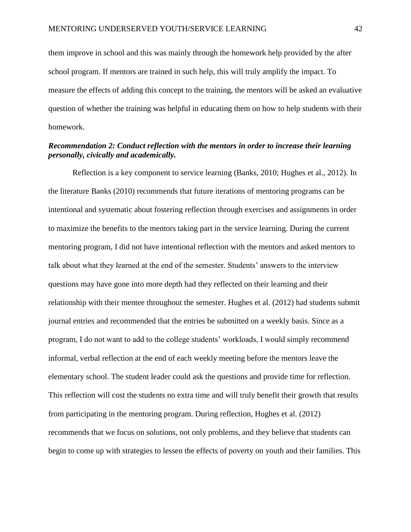them improve in school and this was mainly through the homework help provided by the after school program. If mentors are trained in such help, this will truly amplify the impact. To measure the effects of adding this concept to the training, the mentors will be asked an evaluative question of whether the training was helpful in educating them on how to help students with their homework.

# *Recommendation 2: Conduct reflection with the mentors in order to increase their learning personally, civically and academically.*

Reflection is a key component to service learning (Banks, 2010; Hughes et al., 2012). In the literature Banks (2010) recommends that future iterations of mentoring programs can be intentional and systematic about fostering reflection through exercises and assignments in order to maximize the benefits to the mentors taking part in the service learning. During the current mentoring program, I did not have intentional reflection with the mentors and asked mentors to talk about what they learned at the end of the semester. Students' answers to the interview questions may have gone into more depth had they reflected on their learning and their relationship with their mentee throughout the semester. Hughes et al. (2012) had students submit journal entries and recommended that the entries be submitted on a weekly basis. Since as a program, I do not want to add to the college students' workloads, I would simply recommend informal, verbal reflection at the end of each weekly meeting before the mentors leave the elementary school. The student leader could ask the questions and provide time for reflection. This reflection will cost the students no extra time and will truly benefit their growth that results from participating in the mentoring program. During reflection, Hughes et al. (2012) recommends that we focus on solutions, not only problems, and they believe that students can begin to come up with strategies to lessen the effects of poverty on youth and their families. This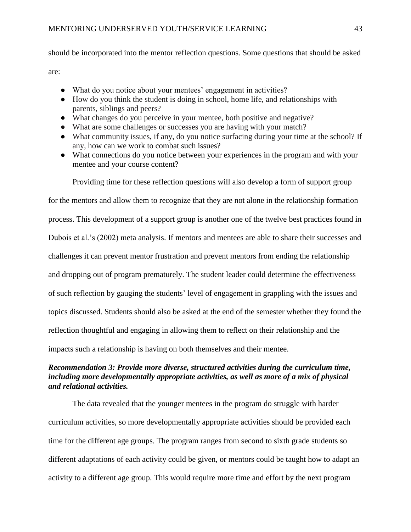should be incorporated into the mentor reflection questions. Some questions that should be asked are:

- What do you notice about your mentees' engagement in activities?
- How do you think the student is doing in school, home life, and relationships with parents, siblings and peers?
- What changes do you perceive in your mentee, both positive and negative?
- What are some challenges or successes you are having with your match?
- What community issues, if any, do you notice surfacing during your time at the school? If any, how can we work to combat such issues?
- What connections do you notice between your experiences in the program and with your mentee and your course content?

Providing time for these reflection questions will also develop a form of support group

for the mentors and allow them to recognize that they are not alone in the relationship formation process. This development of a support group is another one of the twelve best practices found in Dubois et al.'s (2002) meta analysis. If mentors and mentees are able to share their successes and challenges it can prevent mentor frustration and prevent mentors from ending the relationship and dropping out of program prematurely. The student leader could determine the effectiveness of such reflection by gauging the students' level of engagement in grappling with the issues and topics discussed. Students should also be asked at the end of the semester whether they found the reflection thoughtful and engaging in allowing them to reflect on their relationship and the impacts such a relationship is having on both themselves and their mentee.

# *Recommendation 3: Provide more diverse, structured activities during the curriculum time, including more developmentally appropriate activities, as well as more of a mix of physical and relational activities.*

The data revealed that the younger mentees in the program do struggle with harder curriculum activities, so more developmentally appropriate activities should be provided each time for the different age groups. The program ranges from second to sixth grade students so different adaptations of each activity could be given, or mentors could be taught how to adapt an activity to a different age group. This would require more time and effort by the next program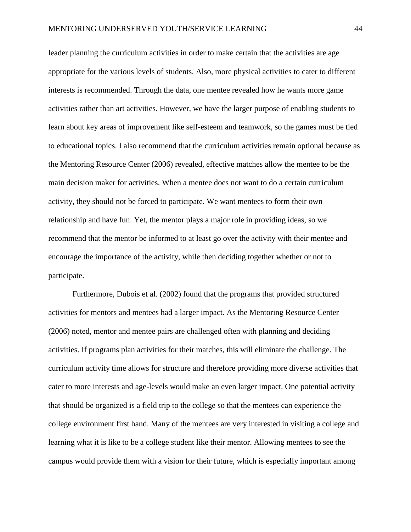leader planning the curriculum activities in order to make certain that the activities are age appropriate for the various levels of students. Also, more physical activities to cater to different interests is recommended. Through the data, one mentee revealed how he wants more game activities rather than art activities. However, we have the larger purpose of enabling students to learn about key areas of improvement like self-esteem and teamwork, so the games must be tied to educational topics. I also recommend that the curriculum activities remain optional because as the Mentoring Resource Center (2006) revealed, effective matches allow the mentee to be the main decision maker for activities. When a mentee does not want to do a certain curriculum activity, they should not be forced to participate. We want mentees to form their own relationship and have fun. Yet, the mentor plays a major role in providing ideas, so we recommend that the mentor be informed to at least go over the activity with their mentee and encourage the importance of the activity, while then deciding together whether or not to participate.

Furthermore, Dubois et al. (2002) found that the programs that provided structured activities for mentors and mentees had a larger impact. As the Mentoring Resource Center (2006) noted, mentor and mentee pairs are challenged often with planning and deciding activities. If programs plan activities for their matches, this will eliminate the challenge. The curriculum activity time allows for structure and therefore providing more diverse activities that cater to more interests and age-levels would make an even larger impact. One potential activity that should be organized is a field trip to the college so that the mentees can experience the college environment first hand. Many of the mentees are very interested in visiting a college and learning what it is like to be a college student like their mentor. Allowing mentees to see the campus would provide them with a vision for their future, which is especially important among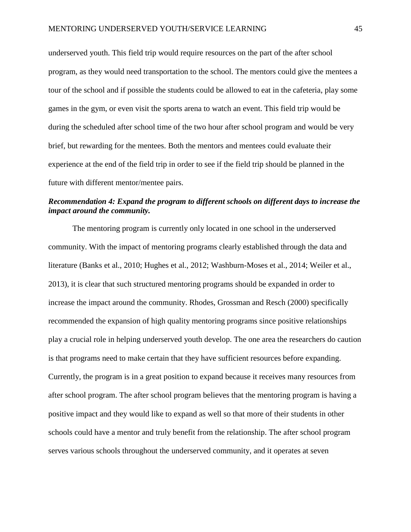underserved youth. This field trip would require resources on the part of the after school program, as they would need transportation to the school. The mentors could give the mentees a tour of the school and if possible the students could be allowed to eat in the cafeteria, play some games in the gym, or even visit the sports arena to watch an event. This field trip would be during the scheduled after school time of the two hour after school program and would be very brief, but rewarding for the mentees. Both the mentors and mentees could evaluate their experience at the end of the field trip in order to see if the field trip should be planned in the future with different mentor/mentee pairs.

# *Recommendation 4: Expand the program to different schools on different days to increase the impact around the community.*

The mentoring program is currently only located in one school in the underserved community. With the impact of mentoring programs clearly established through the data and literature (Banks et al., 2010; Hughes et al., 2012; Washburn-Moses et al., 2014; Weiler et al., 2013), it is clear that such structured mentoring programs should be expanded in order to increase the impact around the community. Rhodes, Grossman and Resch (2000) specifically recommended the expansion of high quality mentoring programs since positive relationships play a crucial role in helping underserved youth develop. The one area the researchers do caution is that programs need to make certain that they have sufficient resources before expanding. Currently, the program is in a great position to expand because it receives many resources from after school program. The after school program believes that the mentoring program is having a positive impact and they would like to expand as well so that more of their students in other schools could have a mentor and truly benefit from the relationship. The after school program serves various schools throughout the underserved community, and it operates at seven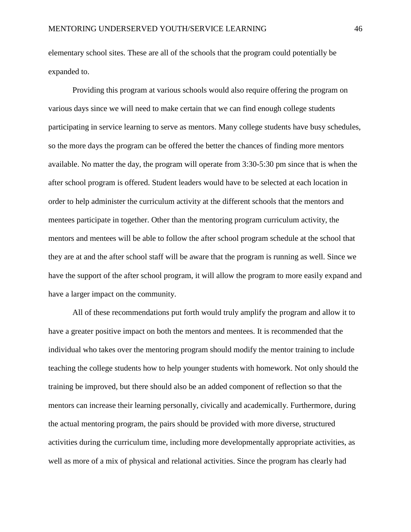elementary school sites. These are all of the schools that the program could potentially be expanded to.

Providing this program at various schools would also require offering the program on various days since we will need to make certain that we can find enough college students participating in service learning to serve as mentors. Many college students have busy schedules, so the more days the program can be offered the better the chances of finding more mentors available. No matter the day, the program will operate from 3:30-5:30 pm since that is when the after school program is offered. Student leaders would have to be selected at each location in order to help administer the curriculum activity at the different schools that the mentors and mentees participate in together. Other than the mentoring program curriculum activity, the mentors and mentees will be able to follow the after school program schedule at the school that they are at and the after school staff will be aware that the program is running as well. Since we have the support of the after school program, it will allow the program to more easily expand and have a larger impact on the community.

All of these recommendations put forth would truly amplify the program and allow it to have a greater positive impact on both the mentors and mentees. It is recommended that the individual who takes over the mentoring program should modify the mentor training to include teaching the college students how to help younger students with homework. Not only should the training be improved, but there should also be an added component of reflection so that the mentors can increase their learning personally, civically and academically. Furthermore, during the actual mentoring program, the pairs should be provided with more diverse, structured activities during the curriculum time, including more developmentally appropriate activities, as well as more of a mix of physical and relational activities. Since the program has clearly had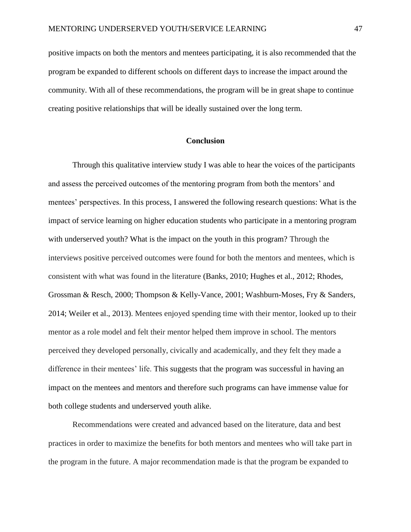positive impacts on both the mentors and mentees participating, it is also recommended that the program be expanded to different schools on different days to increase the impact around the community. With all of these recommendations, the program will be in great shape to continue creating positive relationships that will be ideally sustained over the long term.

### **Conclusion**

Through this qualitative interview study I was able to hear the voices of the participants and assess the perceived outcomes of the mentoring program from both the mentors' and mentees' perspectives. In this process, I answered the following research questions: What is the impact of service learning on higher education students who participate in a mentoring program with underserved youth? What is the impact on the youth in this program? Through the interviews positive perceived outcomes were found for both the mentors and mentees, which is consistent with what was found in the literature (Banks, 2010; Hughes et al., 2012; Rhodes, Grossman & Resch, 2000; Thompson & Kelly-Vance, 2001; Washburn-Moses, Fry & Sanders, 2014; Weiler et al., 2013). Mentees enjoyed spending time with their mentor, looked up to their mentor as a role model and felt their mentor helped them improve in school. The mentors perceived they developed personally, civically and academically, and they felt they made a difference in their mentees' life. This suggests that the program was successful in having an impact on the mentees and mentors and therefore such programs can have immense value for both college students and underserved youth alike.

Recommendations were created and advanced based on the literature, data and best practices in order to maximize the benefits for both mentors and mentees who will take part in the program in the future. A major recommendation made is that the program be expanded to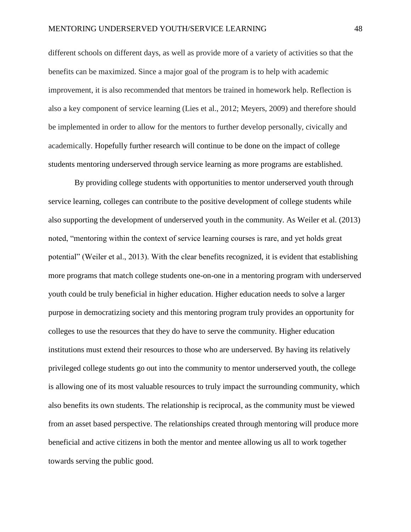different schools on different days, as well as provide more of a variety of activities so that the benefits can be maximized. Since a major goal of the program is to help with academic improvement, it is also recommended that mentors be trained in homework help. Reflection is also a key component of service learning (Lies et al., 2012; Meyers, 2009) and therefore should be implemented in order to allow for the mentors to further develop personally, civically and academically. Hopefully further research will continue to be done on the impact of college students mentoring underserved through service learning as more programs are established.

By providing college students with opportunities to mentor underserved youth through service learning, colleges can contribute to the positive development of college students while also supporting the development of underserved youth in the community. As Weiler et al. (2013) noted, "mentoring within the context of service learning courses is rare, and yet holds great potential" (Weiler et al., 2013). With the clear benefits recognized, it is evident that establishing more programs that match college students one-on-one in a mentoring program with underserved youth could be truly beneficial in higher education. Higher education needs to solve a larger purpose in democratizing society and this mentoring program truly provides an opportunity for colleges to use the resources that they do have to serve the community. Higher education institutions must extend their resources to those who are underserved. By having its relatively privileged college students go out into the community to mentor underserved youth, the college is allowing one of its most valuable resources to truly impact the surrounding community, which also benefits its own students. The relationship is reciprocal, as the community must be viewed from an asset based perspective. The relationships created through mentoring will produce more beneficial and active citizens in both the mentor and mentee allowing us all to work together towards serving the public good.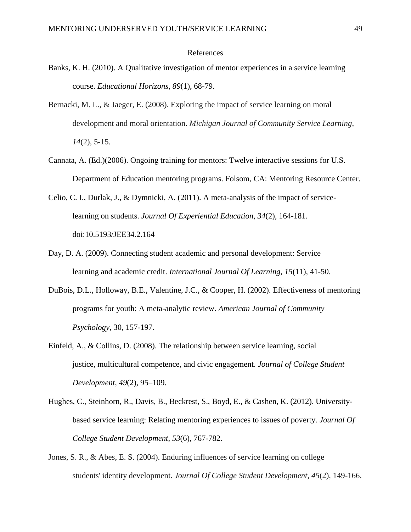#### References

- Banks, K. H. (2010). A Qualitative investigation of mentor experiences in a service learning course. *Educational Horizons*, *89*(1), 68-79.
- Bernacki, M. L., & Jaeger, E. (2008). Exploring the impact of service learning on moral development and moral orientation. *Michigan Journal of Community Service Learning*, *14*(2), 5-15.
- Cannata, A. (Ed.)(2006). Ongoing training for mentors: Twelve interactive sessions for U.S. Department of Education mentoring programs. Folsom, CA: Mentoring Resource Center.
- Celio, C. I., Durlak, J., & Dymnicki, A. (2011). A meta-analysis of the impact of servicelearning on students. *Journal Of Experiential Education*, *34*(2), 164-181. doi:10.5193/JEE34.2.164
- Day, D. A. (2009). Connecting student academic and personal development: Service learning and academic credit. *International Journal Of Learning*, *15*(11), 41-50.
- DuBois, D.L., Holloway, B.E., Valentine, J.C., & Cooper, H. (2002). Effectiveness of mentoring programs for youth: A meta-analytic review. *American Journal of Community Psychology*, 30, 157-197.
- Einfeld, A., & Collins, D. (2008). The relationship between service learning, social justice, multicultural competence, and civic engagement. *Journal of College Student Development*, *49*(2), 95–109.
- Hughes, C., Steinhorn, R., Davis, B., Beckrest, S., Boyd, E., & Cashen, K. (2012). Universitybased service learning: Relating mentoring experiences to issues of poverty. *Journal Of College Student Development*, *53*(6), 767-782.
- Jones, S. R., & Abes, E. S. (2004). Enduring influences of service learning on college students' identity development. *Journal Of College Student Development*, *45*(2), 149-166.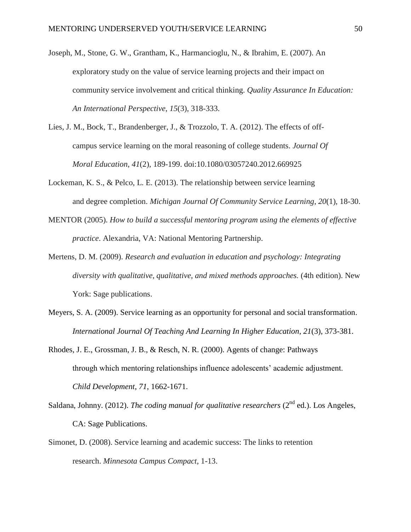- Joseph, M., Stone, G. W., Grantham, K., Harmancioglu, N., & Ibrahim, E. (2007). An exploratory study on the value of service learning projects and their impact on community service involvement and critical thinking. *Quality Assurance In Education: An International Perspective*, *15*(3), 318-333.
- Lies, J. M., Bock, T., Brandenberger, J., & Trozzolo, T. A. (2012). The effects of offcampus service learning on the moral reasoning of college students. *Journal Of Moral Education*, *41*(2), 189-199. doi:10.1080/03057240.2012.669925
- Lockeman, K. S., & Pelco, L. E. (2013). The relationship between service learning and degree completion. *Michigan Journal Of Community Service Learning*, *20*(1), 18-30.
- MENTOR (2005). *How to build a successful mentoring program using the elements of effective practice*. Alexandria, VA: National Mentoring Partnership.
- Mertens, D. M. (2009). *Research and evaluation in education and psychology: Integrating diversity with qualitative, qualitative, and mixed methods approaches.* (4th edition). New York: Sage publications.
- Meyers, S. A. (2009). Service learning as an opportunity for personal and social transformation. *International Journal Of Teaching And Learning In Higher Education*, *21*(3), 373-381.
- Rhodes, J. E., Grossman, J. B., & Resch, N. R. (2000). Agents of change: Pathways through which mentoring relationships influence adolescents' academic adjustment. *Child Development*, *71*, 1662-1671.
- Saldana, Johnny. (2012). *The coding manual for qualitative researchers* ( $2<sup>nd</sup>$  ed.). Los Angeles, CA: Sage Publications.
- Simonet, D. (2008). Service learning and academic success: The links to retention research. *Minnesota Campus Compact*, 1-13.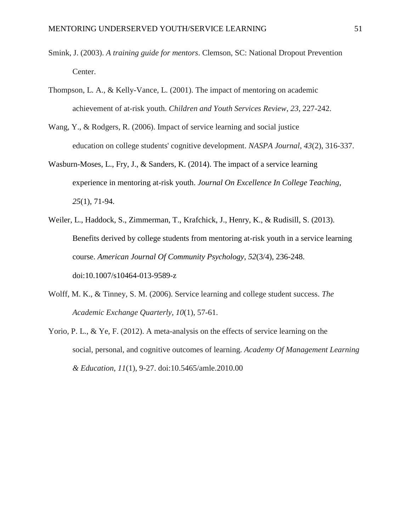- Smink, J. (2003). *A training guide for mentors*. Clemson, SC: National Dropout Prevention Center.
- Thompson, L. A., & Kelly-Vance, L. (2001). The impact of mentoring on academic achievement of at-risk youth. *Children and Youth Services Review*, *23*, 227-242.
- Wang, Y., & Rodgers, R. (2006). Impact of service learning and social justice education on college students' cognitive development. *NASPA Journal*, *43*(2), 316-337.
- Wasburn-Moses, L., Fry, J., & Sanders, K. (2014). The impact of a service learning experience in mentoring at-risk youth. *Journal On Excellence In College Teaching*, *25*(1), 71-94.
- Weiler, L., Haddock, S., Zimmerman, T., Krafchick, J., Henry, K., & Rudisill, S. (2013). Benefits derived by college students from mentoring at-risk youth in a service learning course. *American Journal Of Community Psychology*, *52*(3/4), 236-248. doi:10.1007/s10464-013-9589-z
- Wolff, M. K., & Tinney, S. M. (2006). Service learning and college student success. *The Academic Exchange Quarterly*, *10*(1), 57-61.
- Yorio, P. L., & Ye, F. (2012). A meta-analysis on the effects of service learning on the social, personal, and cognitive outcomes of learning. *Academy Of Management Learning & Education*, *11*(1), 9-27. doi:10.5465/amle.2010.00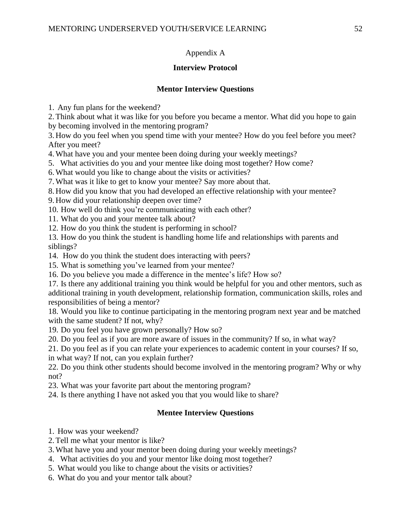# Appendix A

# **Interview Protocol**

# **Mentor Interview Questions**

1. Any fun plans for the weekend?

2.Think about what it was like for you before you became a mentor. What did you hope to gain by becoming involved in the mentoring program?

3. How do you feel when you spend time with your mentee? How do you feel before you meet? After you meet?

4.What have you and your mentee been doing during your weekly meetings?

5. What activities do you and your mentee like doing most together? How come?

6.What would you like to change about the visits or activities?

7.What was it like to get to know your mentee? Say more about that.

8. How did you know that you had developed an effective relationship with your mentee?

9. How did your relationship deepen over time?

10. How well do think you're communicating with each other?

11. What do you and your mentee talk about?

12. How do you think the student is performing in school?

13. How do you think the student is handling home life and relationships with parents and siblings?

14. How do you think the student does interacting with peers?

15. What is something you've learned from your mentee?

16. Do you believe you made a difference in the mentee's life? How so?

17. Is there any additional training you think would be helpful for you and other mentors, such as additional training in youth development, relationship formation, communication skills, roles and responsibilities of being a mentor?

18. Would you like to continue participating in the mentoring program next year and be matched with the same student? If not, why?

19. Do you feel you have grown personally? How so?

20. Do you feel as if you are more aware of issues in the community? If so, in what way?

21. Do you feel as if you can relate your experiences to academic content in your courses? If so, in what way? If not, can you explain further?

22. Do you think other students should become involved in the mentoring program? Why or why not?

23. What was your favorite part about the mentoring program?

24. Is there anything I have not asked you that you would like to share?

# **Mentee Interview Questions**

- 1. How was your weekend?
- 2.Tell me what your mentor is like?
- 3.What have you and your mentor been doing during your weekly meetings?
- 4. What activities do you and your mentor like doing most together?
- 5. What would you like to change about the visits or activities?
- 6. What do you and your mentor talk about?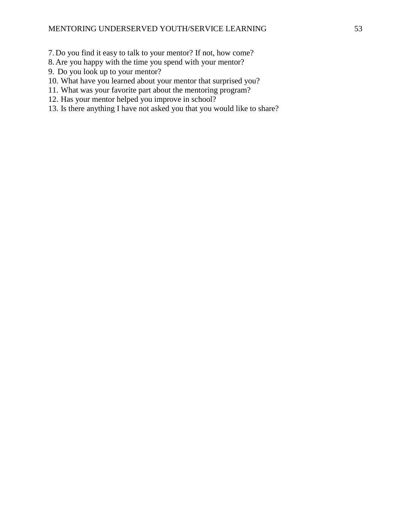- 7. Do you find it easy to talk to your mentor? If not, how come?
- 8. Are you happy with the time you spend with your mentor?
- 9. Do you look up to your mentor?
- 10. What have you learned about your mentor that surprised you?
- 11. What was your favorite part about the mentoring program?
- 12. Has your mentor helped you improve in school?
- 13. Is there anything I have not asked you that you would like to share?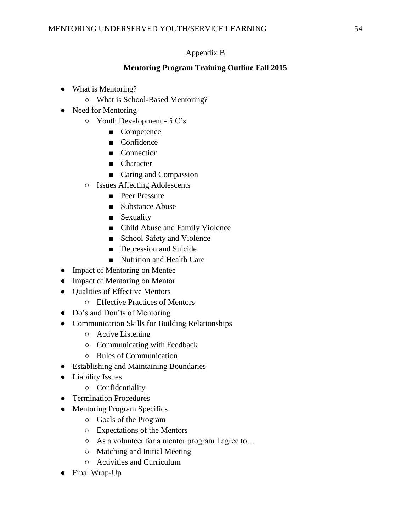# Appendix B

# **Mentoring Program Training Outline Fall 2015**

- What is Mentoring?
	- What is School-Based Mentoring?
- Need for Mentoring
	- Youth Development 5 C's
		- Competence
		- Confidence
		- Connection
		- Character
		- Caring and Compassion
	- Issues Affecting Adolescents
		- Peer Pressure
		- Substance Abuse
		- Sexuality
		- Child Abuse and Family Violence
		- School Safety and Violence
		- Depression and Suicide
		- Nutrition and Health Care
- Impact of Mentoring on Mentee
- Impact of Mentoring on Mentor
- Qualities of Effective Mentors
	- Effective Practices of Mentors
- Do's and Don'ts of Mentoring
- Communication Skills for Building Relationships
	- Active Listening
	- Communicating with Feedback
	- Rules of Communication
- Establishing and Maintaining Boundaries
- Liability Issues
	- Confidentiality
- Termination Procedures
- Mentoring Program Specifics
	- Goals of the Program
	- Expectations of the Mentors
	- As a volunteer for a mentor program I agree to…
	- Matching and Initial Meeting
	- Activities and Curriculum
- Final Wrap-Up